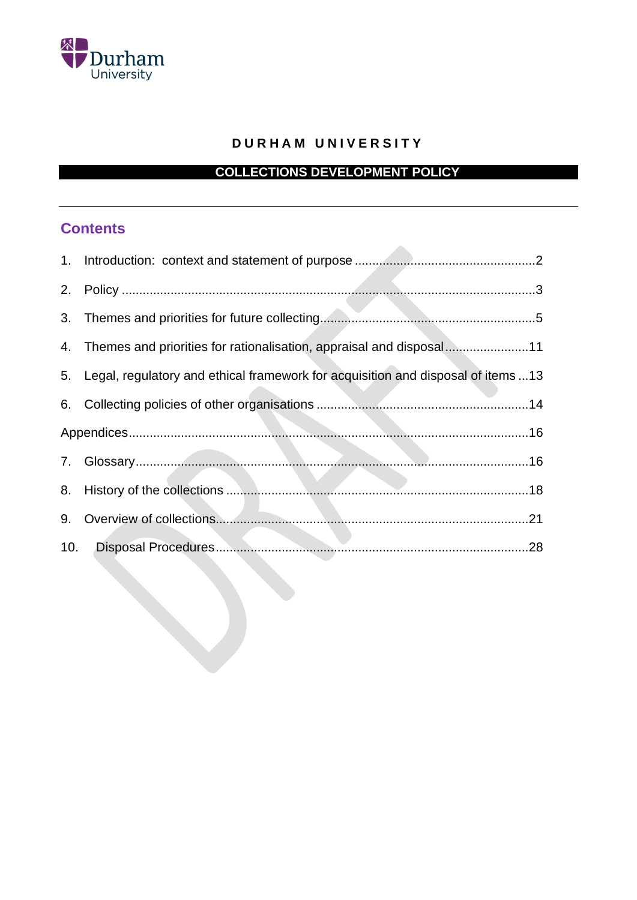

## **D U R H A M U N I V E R S I T Y**

# **COLLECTIONS DEVELOPMENT POLICY**

# **Contents**

| 4. Themes and priorities for rationalisation, appraisal and disposal11              |
|-------------------------------------------------------------------------------------|
| 5. Legal, regulatory and ethical framework for acquisition and disposal of items 13 |
|                                                                                     |
|                                                                                     |
|                                                                                     |
|                                                                                     |
|                                                                                     |
|                                                                                     |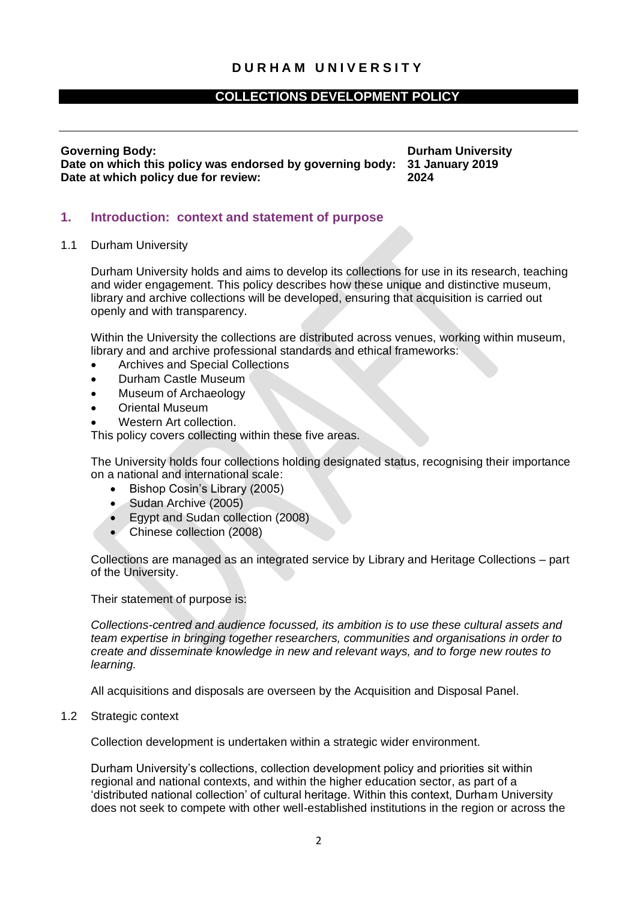## **COLLECTIONS DEVELOPMENT POLICY**

**Governing Body: Durham University Date on which this policy was endorsed by governing body: 31 January 2019 Date at which policy due for review: 2024**

## <span id="page-1-0"></span>**1. Introduction: context and statement of purpose**

1.1 Durham University

Durham University holds and aims to develop its collections for use in its research, teaching and wider engagement. This policy describes how these unique and distinctive museum, library and archive collections will be developed, ensuring that acquisition is carried out openly and with transparency.

Within the University the collections are distributed across venues, working within museum, library and and archive professional standards and ethical frameworks:

- Archives and Special Collections
- Durham Castle Museum
- Museum of Archaeology
- Oriental Museum
- Western Art collection.

This policy covers collecting within these five areas.

The University holds four collections holding designated status, recognising their importance on a national and international scale:

- Bishop Cosin's Library (2005)
- Sudan Archive (2005)
- Egypt and Sudan collection (2008)
- Chinese collection (2008)

Collections are managed as an integrated service by Library and Heritage Collections – part of the University.

Their statement of purpose is:

*Collections-centred and audience focussed, its ambition is to use these cultural assets and team expertise in bringing together researchers, communities and organisations in order to create and disseminate knowledge in new and relevant ways, and to forge new routes to learning.*

All acquisitions and disposals are overseen by the Acquisition and Disposal Panel.

1.2 Strategic context

Collection development is undertaken within a strategic wider environment.

Durham University's collections, collection development policy and priorities sit within regional and national contexts, and within the higher education sector, as part of a 'distributed national collection' of cultural heritage. Within this context, Durham University does not seek to compete with other well-established institutions in the region or across the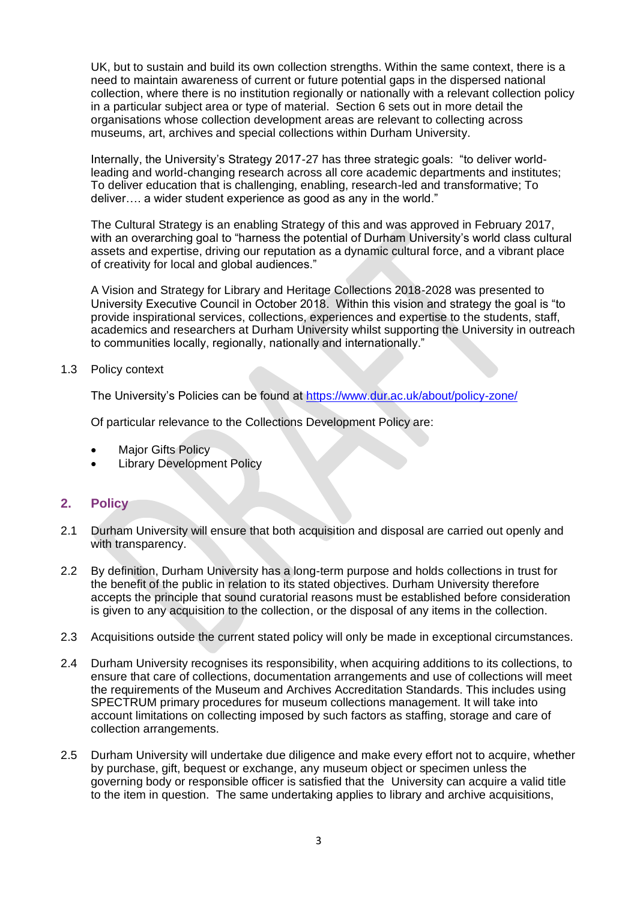UK, but to sustain and build its own collection strengths. Within the same context, there is a need to maintain awareness of current or future potential gaps in the dispersed national collection, where there is no institution regionally or nationally with a relevant collection policy in a particular subject area or type of material. Section 6 sets out in more detail the organisations whose collection development areas are relevant to collecting across museums, art, archives and special collections within Durham University.

Internally, the University's Strategy 2017-27 has three strategic goals: "to deliver worldleading and world-changing research across all core academic departments and institutes; To deliver education that is challenging, enabling, research-led and transformative; To deliver…. a wider student experience as good as any in the world."

The Cultural Strategy is an enabling Strategy of this and was approved in February 2017, with an overarching goal to "harness the potential of Durham University's world class cultural assets and expertise, driving our reputation as a dynamic cultural force, and a vibrant place of creativity for local and global audiences."

A Vision and Strategy for Library and Heritage Collections 2018-2028 was presented to University Executive Council in October 2018. Within this vision and strategy the goal is "to provide inspirational services, collections, experiences and expertise to the students, staff, academics and researchers at Durham University whilst supporting the University in outreach to communities locally, regionally, nationally and internationally."

## 1.3 Policy context

The University's Policies can be found at<https://www.dur.ac.uk/about/policy-zone/>

Of particular relevance to the Collections Development Policy are:

- **Major Gifts Policy**
- **Library Development Policy**

## <span id="page-2-0"></span>**2. Policy**

- 2.1 Durham University will ensure that both acquisition and disposal are carried out openly and with transparency.
- 2.2 By definition, Durham University has a long-term purpose and holds collections in trust for the benefit of the public in relation to its stated objectives. Durham University therefore accepts the principle that sound curatorial reasons must be established before consideration is given to any acquisition to the collection, or the disposal of any items in the collection.
- 2.3 Acquisitions outside the current stated policy will only be made in exceptional circumstances.
- 2.4 Durham University recognises its responsibility, when acquiring additions to its collections, to ensure that care of collections, documentation arrangements and use of collections will meet the requirements of the Museum and Archives Accreditation Standards. This includes using SPECTRUM primary procedures for museum collections management. It will take into account limitations on collecting imposed by such factors as staffing, storage and care of collection arrangements.
- 2.5 Durham University will undertake due diligence and make every effort not to acquire, whether by purchase, gift, bequest or exchange, any museum object or specimen unless the governing body or responsible officer is satisfied that the University can acquire a valid title to the item in question. The same undertaking applies to library and archive acquisitions,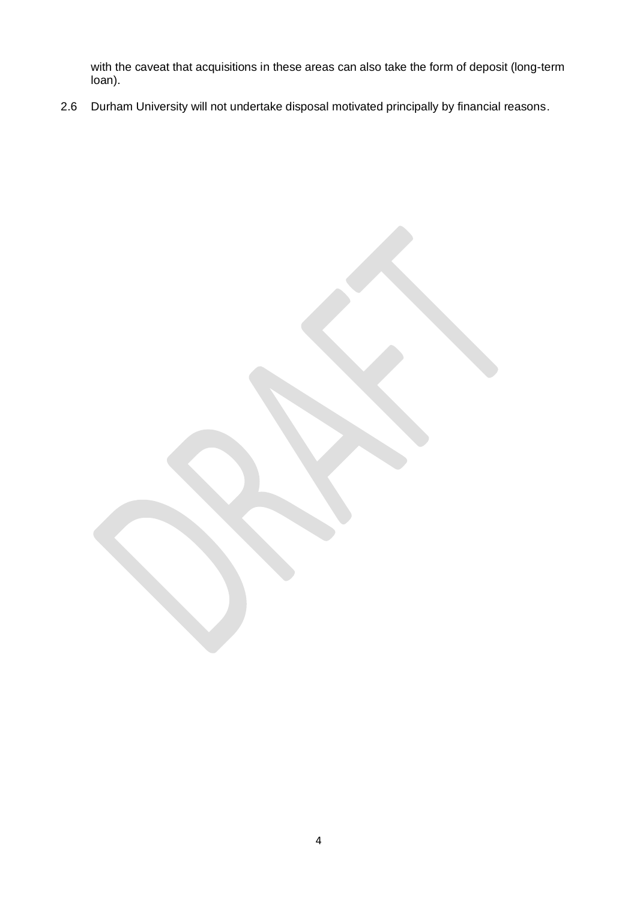with the caveat that acquisitions in these areas can also take the form of deposit (long-term loan).

<span id="page-3-0"></span>2.6 Durham University will not undertake disposal motivated principally by financial reasons.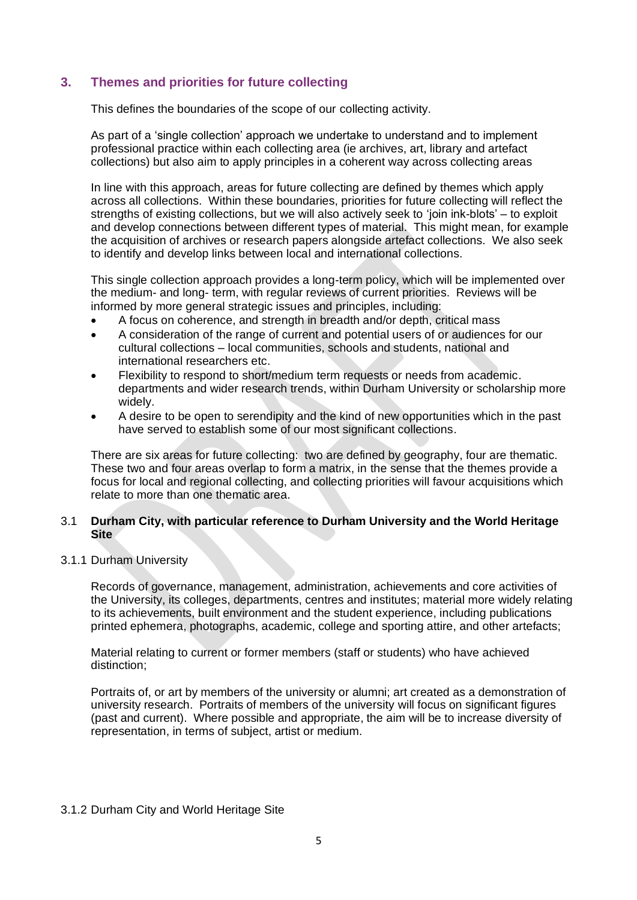## **3. Themes and priorities for future collecting**

This defines the boundaries of the scope of our collecting activity.

As part of a 'single collection' approach we undertake to understand and to implement professional practice within each collecting area (ie archives, art, library and artefact collections) but also aim to apply principles in a coherent way across collecting areas

In line with this approach, areas for future collecting are defined by themes which apply across all collections. Within these boundaries, priorities for future collecting will reflect the strengths of existing collections, but we will also actively seek to 'join ink-blots' – to exploit and develop connections between different types of material. This might mean, for example the acquisition of archives or research papers alongside artefact collections. We also seek to identify and develop links between local and international collections.

This single collection approach provides a long-term policy, which will be implemented over the medium- and long- term, with regular reviews of current priorities. Reviews will be informed by more general strategic issues and principles, including:

- A focus on coherence, and strength in breadth and/or depth, critical mass
- A consideration of the range of current and potential users of or audiences for our cultural collections – local communities, schools and students, national and international researchers etc.
- Flexibility to respond to short/medium term requests or needs from academic. departments and wider research trends, within Durham University or scholarship more widely.
- A desire to be open to serendipity and the kind of new opportunities which in the past have served to establish some of our most significant collections.

There are six areas for future collecting: two are defined by geography, four are thematic. These two and four areas overlap to form a matrix, in the sense that the themes provide a focus for local and regional collecting, and collecting priorities will favour acquisitions which relate to more than one thematic area.

## 3.1 **Durham City, with particular reference to Durham University and the World Heritage Site**

### 3.1.1 Durham University

Records of governance, management, administration, achievements and core activities of the University, its colleges, departments, centres and institutes; material more widely relating to its achievements, built environment and the student experience, including publications printed ephemera, photographs, academic, college and sporting attire, and other artefacts;

Material relating to current or former members (staff or students) who have achieved distinction;

Portraits of, or art by members of the university or alumni; art created as a demonstration of university research. Portraits of members of the university will focus on significant figures (past and current). Where possible and appropriate, the aim will be to increase diversity of representation, in terms of subject, artist or medium.

## 3.1.2 Durham City and World Heritage Site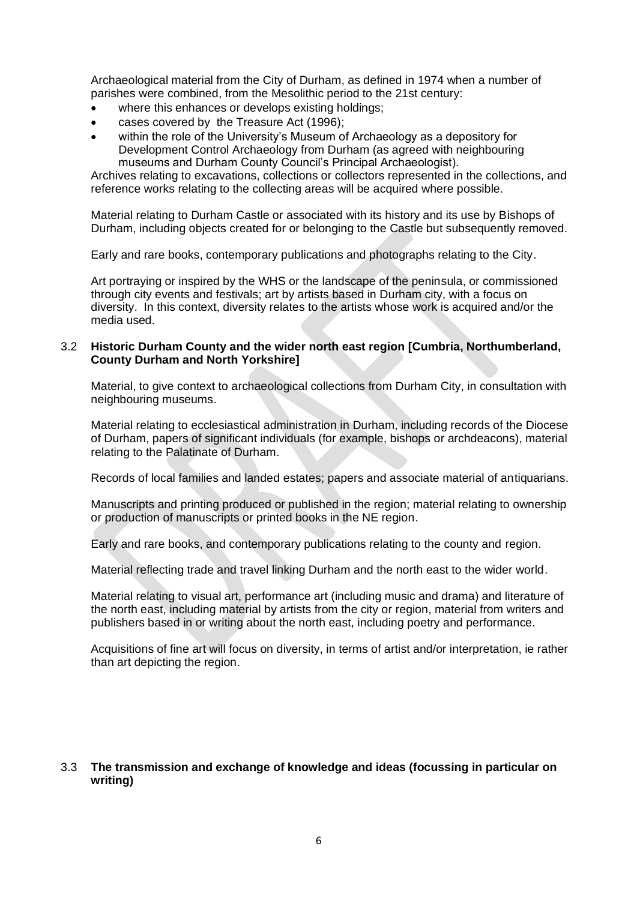Archaeological material from the City of Durham, as defined in 1974 when a number of parishes were combined, from the Mesolithic period to the 21st century:

- where this enhances or develops existing holdings;
- cases covered by the Treasure Act (1996);
- within the role of the University's Museum of Archaeology as a depository for Development Control Archaeology from Durham (as agreed with neighbouring museums and Durham County Council's Principal Archaeologist).

Archives relating to excavations, collections or collectors represented in the collections, and reference works relating to the collecting areas will be acquired where possible.

Material relating to Durham Castle or associated with its history and its use by Bishops of Durham, including objects created for or belonging to the Castle but subsequently removed.

Early and rare books, contemporary publications and photographs relating to the City.

Art portraying or inspired by the WHS or the landscape of the peninsula, or commissioned through city events and festivals; art by artists based in Durham city, with a focus on diversity. In this context, diversity relates to the artists whose work is acquired and/or the media used.

### 3.2 **Historic Durham County and the wider north east region [Cumbria, Northumberland, County Durham and North Yorkshire]**

Material, to give context to archaeological collections from Durham City, in consultation with neighbouring museums.

Material relating to ecclesiastical administration in Durham, including records of the Diocese of Durham, papers of significant individuals (for example, bishops or archdeacons), material relating to the Palatinate of Durham.

Records of local families and landed estates; papers and associate material of antiquarians.

Manuscripts and printing produced or published in the region; material relating to ownership or production of manuscripts or printed books in the NE region.

Early and rare books, and contemporary publications relating to the county and region.

Material reflecting trade and travel linking Durham and the north east to the wider world.

Material relating to visual art, performance art (including music and drama) and literature of the north east, including material by artists from the city or region, material from writers and publishers based in or writing about the north east, including poetry and performance.

Acquisitions of fine art will focus on diversity, in terms of artist and/or interpretation, ie rather than art depicting the region.

## 3.3 **The transmission and exchange of knowledge and ideas (focussing in particular on writing)**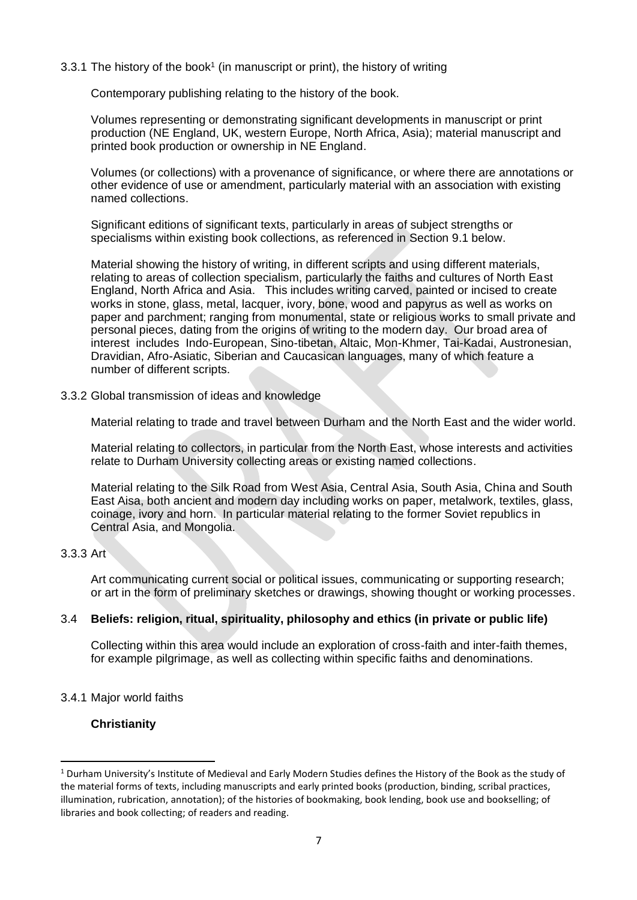### 3.3.1 The history of the book<sup>1</sup> (in manuscript or print), the history of writing

Contemporary publishing relating to the history of the book.

Volumes representing or demonstrating significant developments in manuscript or print production (NE England, UK, western Europe, North Africa, Asia); material manuscript and printed book production or ownership in NE England.

Volumes (or collections) with a provenance of significance, or where there are annotations or other evidence of use or amendment, particularly material with an association with existing named collections.

Significant editions of significant texts, particularly in areas of subject strengths or specialisms within existing book collections, as referenced in Section 9.1 below.

Material showing the history of writing, in different scripts and using different materials, relating to areas of collection specialism, particularly the faiths and cultures of North East England, North Africa and Asia. This includes writing carved, painted or incised to create works in stone, glass, metal, lacquer, ivory, bone, wood and papyrus as well as works on paper and parchment; ranging from monumental, state or religious works to small private and personal pieces, dating from the origins of writing to the modern day. Our broad area of interest includes Indo-European, Sino-tibetan, Altaic, Mon-Khmer, Tai-Kadai, Austronesian, Dravidian, Afro-Asiatic, Siberian and Caucasican languages, many of which feature a number of different scripts.

3.3.2 Global transmission of ideas and knowledge

Material relating to trade and travel between Durham and the North East and the wider world.

Material relating to collectors, in particular from the North East, whose interests and activities relate to Durham University collecting areas or existing named collections.

Material relating to the Silk Road from West Asia, Central Asia, South Asia, China and South East Aisa, both ancient and modern day including works on paper, metalwork, textiles, glass, coinage, ivory and horn. In particular material relating to the former Soviet republics in Central Asia, and Mongolia.

## 3.3.3 Art

Art communicating current social or political issues, communicating or supporting research; or art in the form of preliminary sketches or drawings, showing thought or working processes.

## 3.4 **Beliefs: religion, ritual, spirituality, philosophy and ethics (in private or public life)**

Collecting within this area would include an exploration of cross-faith and inter-faith themes, for example pilgrimage, as well as collecting within specific faiths and denominations.

## 3.4.1 Major world faiths

## **Christianity**

<sup>&</sup>lt;sup>1</sup> Durham University's Institute of Medieval and Early Modern Studies defines the History of the Book as the study of the material forms of texts, including manuscripts and early printed books (production, binding, scribal practices, illumination, rubrication, annotation); of the histories of bookmaking, book lending, book use and bookselling; of libraries and book collecting; of readers and reading.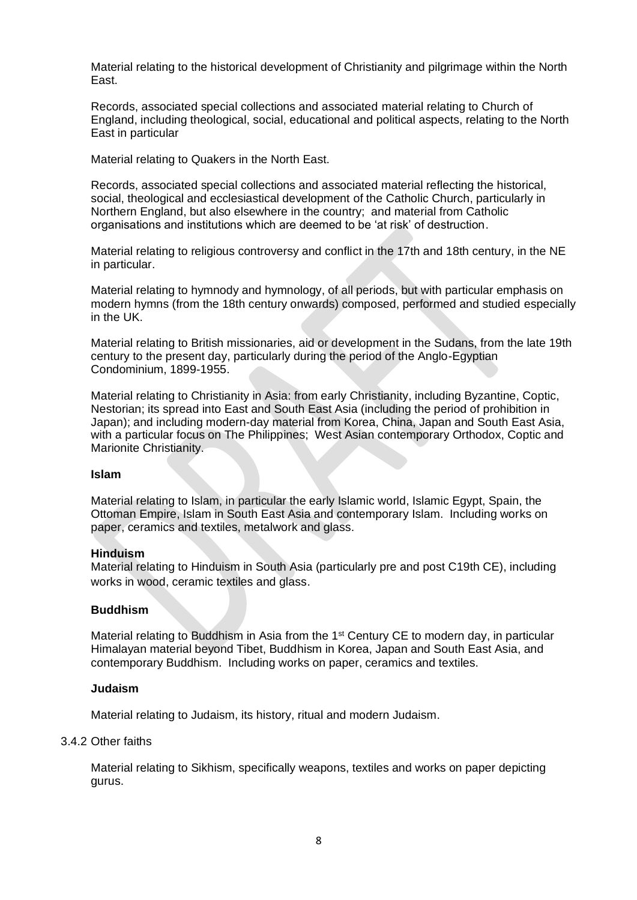Material relating to the historical development of Christianity and pilgrimage within the North East.

Records, associated special collections and associated material relating to Church of England, including theological, social, educational and political aspects, relating to the North East in particular

Material relating to Quakers in the North East.

Records, associated special collections and associated material reflecting the historical, social, theological and ecclesiastical development of the Catholic Church, particularly in Northern England, but also elsewhere in the country; and material from Catholic organisations and institutions which are deemed to be 'at risk' of destruction.

Material relating to religious controversy and conflict in the 17th and 18th century, in the NE in particular.

Material relating to hymnody and hymnology, of all periods, but with particular emphasis on modern hymns (from the 18th century onwards) composed, performed and studied especially in the UK.

Material relating to British missionaries, aid or development in the Sudans, from the late 19th century to the present day, particularly during the period of the Anglo-Egyptian Condominium, 1899-1955.

Material relating to Christianity in Asia: from early Christianity, including Byzantine, Coptic, Nestorian; its spread into East and South East Asia (including the period of prohibition in Japan); and including modern-day material from Korea, China, Japan and South East Asia, with a particular focus on The Philippines; West Asian contemporary Orthodox, Coptic and Marionite Christianity.

#### **Islam**

Material relating to Islam, in particular the early Islamic world, Islamic Egypt, Spain, the Ottoman Empire, Islam in South East Asia and contemporary Islam. Including works on paper, ceramics and textiles, metalwork and glass.

### **Hinduism**

Material relating to Hinduism in South Asia (particularly pre and post C19th CE), including works in wood, ceramic textiles and glass.

### **Buddhism**

Material relating to Buddhism in Asia from the 1<sup>st</sup> Century CE to modern day, in particular Himalayan material beyond Tibet, Buddhism in Korea, Japan and South East Asia, and contemporary Buddhism. Including works on paper, ceramics and textiles.

### **Judaism**

Material relating to Judaism, its history, ritual and modern Judaism.

### 3.4.2 Other faiths

Material relating to Sikhism, specifically weapons, textiles and works on paper depicting gurus.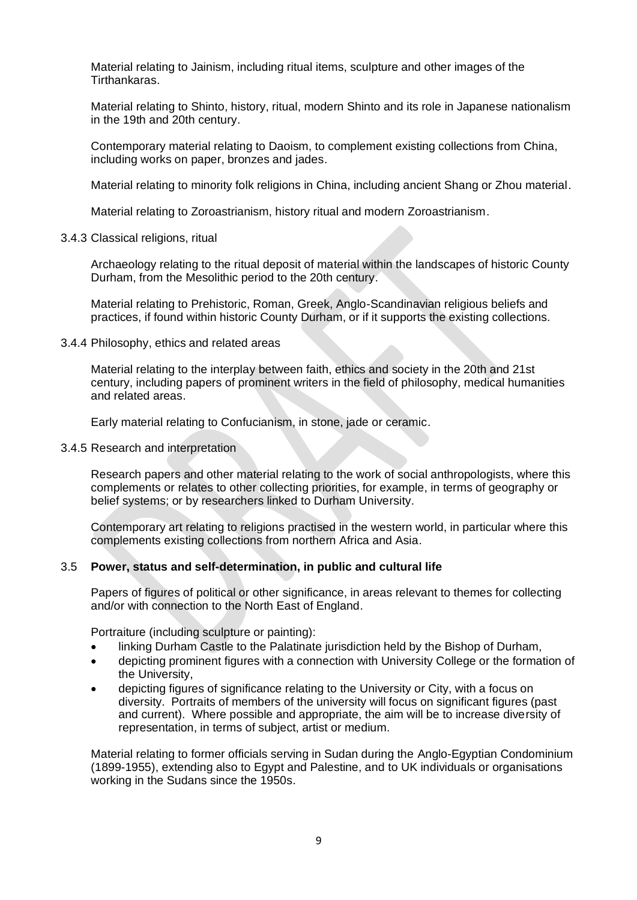Material relating to Jainism, including ritual items, sculpture and other images of the Tirthankaras.

Material relating to Shinto, history, ritual, modern Shinto and its role in Japanese nationalism in the 19th and 20th century.

Contemporary material relating to Daoism, to complement existing collections from China, including works on paper, bronzes and jades.

Material relating to minority folk religions in China, including ancient Shang or Zhou material.

Material relating to Zoroastrianism, history ritual and modern Zoroastrianism.

#### 3.4.3 Classical religions, ritual

Archaeology relating to the ritual deposit of material within the landscapes of historic County Durham, from the Mesolithic period to the 20th century.

Material relating to Prehistoric, Roman, Greek, Anglo-Scandinavian religious beliefs and practices, if found within historic County Durham, or if it supports the existing collections.

#### 3.4.4 Philosophy, ethics and related areas

Material relating to the interplay between faith, ethics and society in the 20th and 21st century, including papers of prominent writers in the field of philosophy, medical humanities and related areas.

Early material relating to Confucianism, in stone, jade or ceramic.

#### 3.4.5 Research and interpretation

Research papers and other material relating to the work of social anthropologists, where this complements or relates to other collecting priorities, for example, in terms of geography or belief systems; or by researchers linked to Durham University.

Contemporary art relating to religions practised in the western world, in particular where this complements existing collections from northern Africa and Asia.

### 3.5 **Power, status and self-determination, in public and cultural life**

Papers of figures of political or other significance, in areas relevant to themes for collecting and/or with connection to the North East of England.

Portraiture (including sculpture or painting):

- linking Durham Castle to the Palatinate jurisdiction held by the Bishop of Durham,
- depicting prominent figures with a connection with University College or the formation of the University,
- depicting figures of significance relating to the University or City, with a focus on diversity. Portraits of members of the university will focus on significant figures (past and current). Where possible and appropriate, the aim will be to increase diversity of representation, in terms of subject, artist or medium.

Material relating to former officials serving in Sudan during the Anglo-Egyptian Condominium (1899-1955), extending also to Egypt and Palestine, and to UK individuals or organisations working in the Sudans since the 1950s.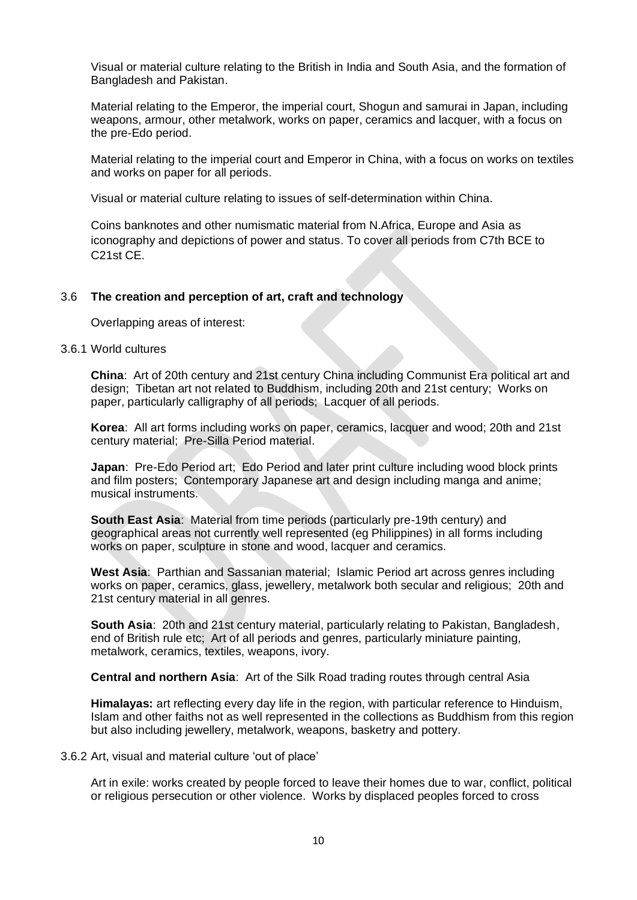Visual or material culture relating to the British in India and South Asia, and the formation of Bangladesh and Pakistan.

Material relating to the Emperor, the imperial court, Shogun and samurai in Japan, including weapons, armour, other metalwork, works on paper, ceramics and lacquer, with a focus on the pre-Edo period.

Material relating to the imperial court and Emperor in China, with a focus on works on textiles and works on paper for all periods.

Visual or material culture relating to issues of self-determination within China.

Coins banknotes and other numismatic material from N.Africa, Europe and Asia as iconography and depictions of power and status. To cover all periods from C7th BCE to C21st CE.

### 3.6 **The creation and perception of art, craft and technology**

Overlapping areas of interest:

#### 3.6.1 World cultures

**China**: Art of 20th century and 21st century China including Communist Era political art and design; Tibetan art not related to Buddhism, including 20th and 21st century; Works on paper, particularly calligraphy of all periods; Lacquer of all periods.

**Korea**: All art forms including works on paper, ceramics, lacquer and wood; 20th and 21st century material; Pre-Silla Period material.

**Japan**: Pre-Edo Period art; Edo Period and later print culture including wood block prints and film posters; Contemporary Japanese art and design including manga and anime; musical instruments.

**South East Asia**: Material from time periods (particularly pre-19th century) and geographical areas not currently well represented (eg Philippines) in all forms including works on paper, sculpture in stone and wood, lacquer and ceramics.

**West Asia**: Parthian and Sassanian material; Islamic Period art across genres including works on paper, ceramics, glass, jewellery, metalwork both secular and religious; 20th and 21st century material in all genres.

**South Asia**: 20th and 21st century material, particularly relating to Pakistan, Bangladesh, end of British rule etc; Art of all periods and genres, particularly miniature painting, metalwork, ceramics, textiles, weapons, ivory.

**Central and northern Asia**: Art of the Silk Road trading routes through central Asia

**Himalayas:** art reflecting every day life in the region, with particular reference to Hinduism, Islam and other faiths not as well represented in the collections as Buddhism from this region but also including jewellery, metalwork, weapons, basketry and pottery.

3.6.2 Art, visual and material culture 'out of place'

Art in exile: works created by people forced to leave their homes due to war, conflict, political or religious persecution or other violence. Works by displaced peoples forced to cross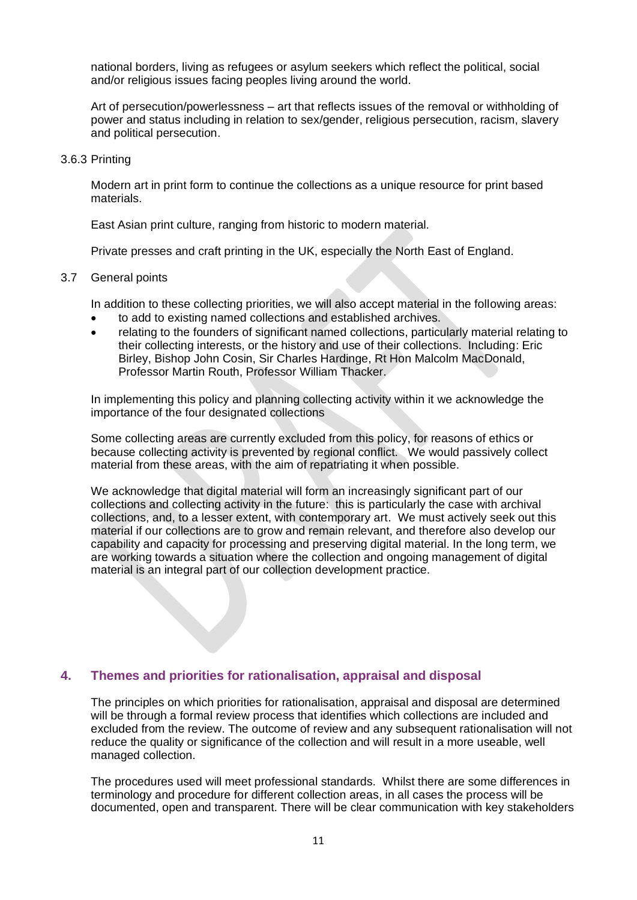national borders, living as refugees or asylum seekers which reflect the political, social and/or religious issues facing peoples living around the world.

Art of persecution/powerlessness – art that reflects issues of the removal or withholding of power and status including in relation to sex/gender, religious persecution, racism, slavery and political persecution.

#### 3.6.3 Printing

Modern art in print form to continue the collections as a unique resource for print based materials.

East Asian print culture, ranging from historic to modern material.

Private presses and craft printing in the UK, especially the North East of England.

#### 3.7 General points

In addition to these collecting priorities, we will also accept material in the following areas:

- to add to existing named collections and established archives.
- relating to the founders of significant named collections, particularly material relating to their collecting interests, or the history and use of their collections. Including: Eric Birley, Bishop John Cosin, Sir Charles Hardinge, Rt Hon Malcolm MacDonald, Professor Martin Routh, Professor William Thacker.

In implementing this policy and planning collecting activity within it we acknowledge the importance of the four designated collections

Some collecting areas are currently excluded from this policy, for reasons of ethics or because collecting activity is prevented by regional conflict. We would passively collect material from these areas, with the aim of repatriating it when possible.

We acknowledge that digital material will form an increasingly significant part of our collections and collecting activity in the future: this is particularly the case with archival collections, and, to a lesser extent, with contemporary art. We must actively seek out this material if our collections are to grow and remain relevant, and therefore also develop our capability and capacity for processing and preserving digital material. In the long term, we are working towards a situation where the collection and ongoing management of digital material is an integral part of our collection development practice.

## <span id="page-10-0"></span>**4. Themes and priorities for rationalisation, appraisal and disposal**

The principles on which priorities for rationalisation, appraisal and disposal are determined will be through a formal review process that identifies which collections are included and excluded from the review. The outcome of review and any subsequent rationalisation will not reduce the quality or significance of the collection and will result in a more useable, well managed collection.

The procedures used will meet professional standards. Whilst there are some differences in terminology and procedure for different collection areas, in all cases the process will be documented, open and transparent. There will be clear communication with key stakeholders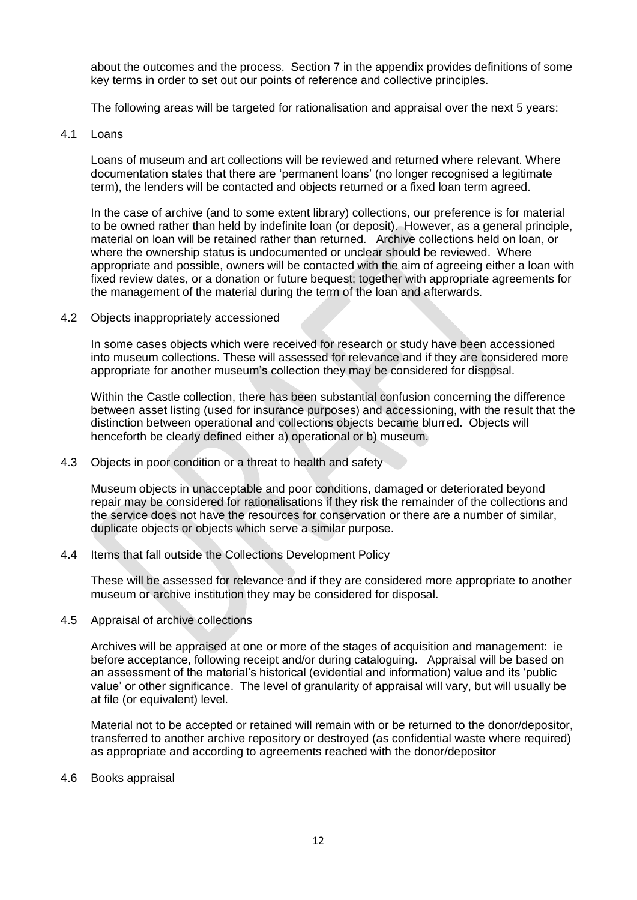about the outcomes and the process. Section 7 in the appendix provides definitions of some key terms in order to set out our points of reference and collective principles.

The following areas will be targeted for rationalisation and appraisal over the next 5 years:

4.1 Loans

Loans of museum and art collections will be reviewed and returned where relevant. Where documentation states that there are 'permanent loans' (no longer recognised a legitimate term), the lenders will be contacted and objects returned or a fixed loan term agreed.

In the case of archive (and to some extent library) collections, our preference is for material to be owned rather than held by indefinite loan (or deposit). However, as a general principle, material on loan will be retained rather than returned. Archive collections held on loan, or where the ownership status is undocumented or unclear should be reviewed. Where appropriate and possible, owners will be contacted with the aim of agreeing either a loan with fixed review dates, or a donation or future bequest; together with appropriate agreements for the management of the material during the term of the loan and afterwards.

4.2 Objects inappropriately accessioned

In some cases objects which were received for research or study have been accessioned into museum collections. These will assessed for relevance and if they are considered more appropriate for another museum's collection they may be considered for disposal.

Within the Castle collection, there has been substantial confusion concerning the difference between asset listing (used for insurance purposes) and accessioning, with the result that the distinction between operational and collections objects became blurred. Objects will henceforth be clearly defined either a) operational or b) museum.

4.3 Objects in poor condition or a threat to health and safety

Museum objects in unacceptable and poor conditions, damaged or deteriorated beyond repair may be considered for rationalisations if they risk the remainder of the collections and the service does not have the resources for conservation or there are a number of similar, duplicate objects or objects which serve a similar purpose.

4.4 Items that fall outside the Collections Development Policy

These will be assessed for relevance and if they are considered more appropriate to another museum or archive institution they may be considered for disposal.

4.5 Appraisal of archive collections

Archives will be appraised at one or more of the stages of acquisition and management: ie before acceptance, following receipt and/or during cataloguing. Appraisal will be based on an assessment of the material's historical (evidential and information) value and its 'public value' or other significance. The level of granularity of appraisal will vary, but will usually be at file (or equivalent) level.

Material not to be accepted or retained will remain with or be returned to the donor/depositor, transferred to another archive repository or destroyed (as confidential waste where required) as appropriate and according to agreements reached with the donor/depositor

4.6 Books appraisal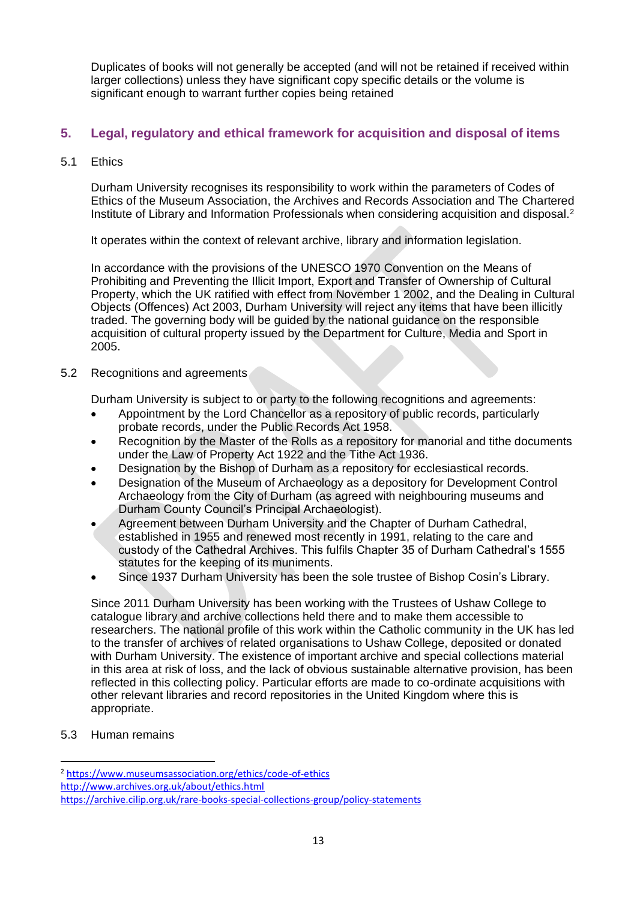Duplicates of books will not generally be accepted (and will not be retained if received within larger collections) unless they have significant copy specific details or the volume is significant enough to warrant further copies being retained

## <span id="page-12-0"></span>**5. Legal, regulatory and ethical framework for acquisition and disposal of items**

5.1 Ethics

Durham University recognises its responsibility to work within the parameters of Codes of Ethics of the Museum Association, the Archives and Records Association and The Chartered Institute of Library and Information Professionals when considering acquisition and disposal.<sup>2</sup>

It operates within the context of relevant archive, library and information legislation.

In accordance with the provisions of the UNESCO 1970 Convention on the Means of Prohibiting and Preventing the Illicit Import, Export and Transfer of Ownership of Cultural Property, which the UK ratified with effect from November 1 2002, and the Dealing in Cultural Objects (Offences) Act 2003, Durham University will reject any items that have been illicitly traded. The governing body will be guided by the national guidance on the responsible acquisition of cultural property issued by the Department for Culture, Media and Sport in 2005.

5.2 Recognitions and agreements

Durham University is subject to or party to the following recognitions and agreements:

- Appointment by the Lord Chancellor as a repository of public records, particularly probate records, under the Public Records Act 1958.
- Recognition by the Master of the Rolls as a repository for manorial and tithe documents under the Law of Property Act 1922 and the Tithe Act 1936.
- Designation by the Bishop of Durham as a repository for ecclesiastical records.
- Designation of the Museum of Archaeology as a depository for Development Control Archaeology from the City of Durham (as agreed with neighbouring museums and Durham County Council's Principal Archaeologist).
- Agreement between Durham University and the Chapter of Durham Cathedral, established in 1955 and renewed most recently in 1991, relating to the care and custody of the Cathedral Archives. This fulfils Chapter 35 of Durham Cathedral's 1555 statutes for the keeping of its muniments.
- Since 1937 Durham University has been the sole trustee of Bishop Cosin's Library.

Since 2011 Durham University has been working with the Trustees of Ushaw College to catalogue library and archive collections held there and to make them accessible to researchers. The national profile of this work within the Catholic community in the UK has led to the transfer of archives of related organisations to Ushaw College, deposited or donated with Durham University. The existence of important archive and special collections material in this area at risk of loss, and the lack of obvious sustainable alternative provision, has been reflected in this collecting policy. Particular efforts are made to co-ordinate acquisitions with other relevant libraries and record repositories in the United Kingdom where this is appropriate.

5.3 Human remains

<sup>2</sup> <https://www.museumsassociation.org/ethics/code-of-ethics>

<http://www.archives.org.uk/about/ethics.html>

https://archive.cilip.org.uk/rare-books-special-collections-group/policy-statements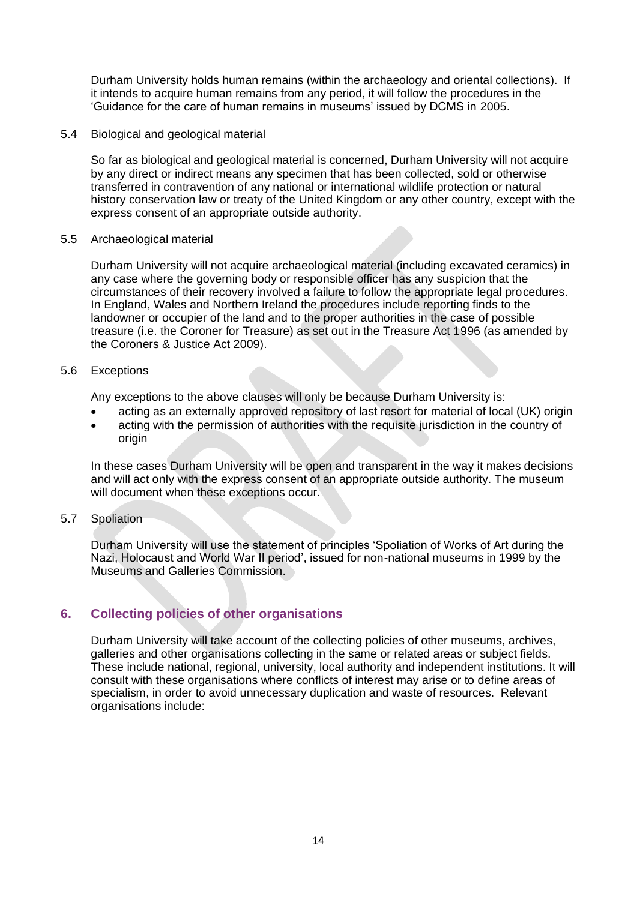Durham University holds human remains (within the archaeology and oriental collections). If it intends to acquire human remains from any period, it will follow the procedures in the 'Guidance for the care of human remains in museums' issued by DCMS in 2005.

5.4 Biological and geological material

So far as biological and geological material is concerned, Durham University will not acquire by any direct or indirect means any specimen that has been collected, sold or otherwise transferred in contravention of any national or international wildlife protection or natural history conservation law or treaty of the United Kingdom or any other country, except with the express consent of an appropriate outside authority.

### 5.5 Archaeological material

Durham University will not acquire archaeological material (including excavated ceramics) in any case where the governing body or responsible officer has any suspicion that the circumstances of their recovery involved a failure to follow the appropriate legal procedures. In England, Wales and Northern Ireland the procedures include reporting finds to the landowner or occupier of the land and to the proper authorities in the case of possible treasure (i.e. the Coroner for Treasure) as set out in the Treasure Act 1996 (as amended by the Coroners & Justice Act 2009).

### 5.6 Exceptions

Any exceptions to the above clauses will only be because Durham University is:

- acting as an externally approved repository of last resort for material of local (UK) origin
- acting with the permission of authorities with the requisite jurisdiction in the country of origin

In these cases Durham University will be open and transparent in the way it makes decisions and will act only with the express consent of an appropriate outside authority. The museum will document when these exceptions occur.

5.7 Spoliation

Durham University will use the statement of principles 'Spoliation of Works of Art during the Nazi, Holocaust and World War II period', issued for non-national museums in 1999 by the Museums and Galleries Commission.

## <span id="page-13-0"></span>**6. Collecting policies of other organisations**

Durham University will take account of the collecting policies of other museums, archives, galleries and other organisations collecting in the same or related areas or subject fields. These include national, regional, university, local authority and independent institutions. It will consult with these organisations where conflicts of interest may arise or to define areas of specialism, in order to avoid unnecessary duplication and waste of resources. Relevant organisations include: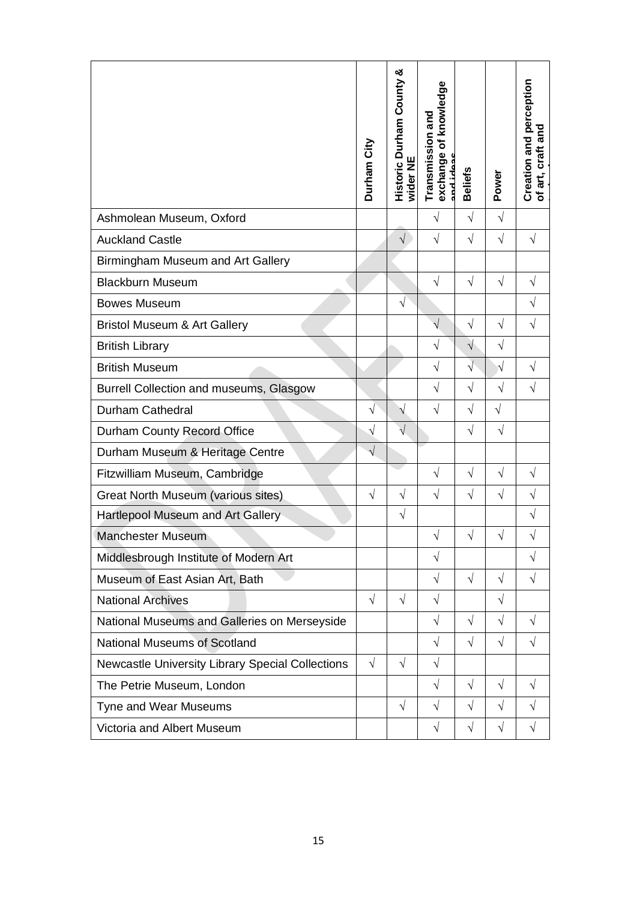|                                                  | Durham City | ఱ<br><b>Historic Durham County</b><br>wider NI | knowledge<br>Transmission and<br>Ⴆ<br>exchange<br>cobi bas | <b>Beliefs</b> | Power                 | Creation and perception<br>and<br>craft:<br>of art, |
|--------------------------------------------------|-------------|------------------------------------------------|------------------------------------------------------------|----------------|-----------------------|-----------------------------------------------------|
| Ashmolean Museum, Oxford                         |             |                                                | V                                                          | $\sqrt{ }$     | $\sqrt{}$             |                                                     |
| <b>Auckland Castle</b>                           |             | $\sqrt{}$                                      | $\sqrt{}$                                                  | $\sqrt{}$      | $\sqrt{}$             | $\sqrt{}$                                           |
| Birmingham Museum and Art Gallery                |             |                                                |                                                            |                |                       |                                                     |
| <b>Blackburn Museum</b>                          |             |                                                | $\sqrt{}$                                                  | $\sqrt{ }$     | $\sqrt{}$             | $\sqrt{}$                                           |
| <b>Bowes Museum</b>                              |             | $\sqrt{}$                                      |                                                            |                |                       | $\sqrt{}$                                           |
| Bristol Museum & Art Gallery                     |             |                                                | $\sqrt{}$                                                  | $\sqrt{}$      | $\sqrt{}$             | $\sqrt{}$                                           |
| <b>British Library</b>                           |             |                                                | $\sqrt{}$                                                  | $\sqrt{}$      | $\sqrt{}$             |                                                     |
| <b>British Museum</b>                            |             |                                                | $\sqrt{}$                                                  | $\sqrt{}$      | $\overline{\sqrt{2}}$ | $\sqrt{}$                                           |
| Burrell Collection and museums, Glasgow          |             |                                                | $\sqrt{ }$                                                 | $\sqrt{}$      | $\sqrt{}$             | $\sqrt{}$                                           |
| Durham Cathedral                                 | V           | N                                              | $\sqrt{}$                                                  | $\sqrt{}$      | $\sqrt{}$             |                                                     |
| Durham County Record Office                      | $\sqrt{ }$  | $\sqrt{}$                                      |                                                            | $\sqrt{ }$     | $\sqrt{}$             |                                                     |
| Durham Museum & Heritage Centre                  | $\sqrt{}$   |                                                |                                                            |                |                       |                                                     |
| Fitzwilliam Museum, Cambridge                    |             |                                                | $\sqrt{}$                                                  | $\sqrt{ }$     | $\sqrt{}$             | $\sqrt{}$                                           |
| <b>Great North Museum (various sites)</b>        | V           | $\sqrt{}$                                      | $\sqrt{}$                                                  | $\sqrt{}$      | $\sqrt{}$             | V                                                   |
| Hartlepool Museum and Art Gallery                |             | $\sqrt{}$                                      |                                                            |                |                       | $\sqrt{}$                                           |
| <b>Manchester Museum</b>                         |             |                                                | $\sqrt{}$                                                  | $\sqrt{}$      | $\sqrt{}$             | $\sqrt{}$                                           |
| Middlesbrough Institute of Modern Art            |             |                                                | $\sqrt{}$                                                  |                |                       | $\sqrt{}$                                           |
| Museum of East Asian Art, Bath                   |             |                                                | $\sqrt{}$                                                  | $\sqrt{ }$     | $\sqrt{}$             | $\sqrt{}$                                           |
| <b>National Archives</b>                         | $\sqrt{ }$  | $\sqrt{}$                                      | $\sqrt{}$                                                  |                | $\sqrt{}$             |                                                     |
| National Museums and Galleries on Merseyside     |             |                                                | $\sqrt{}$                                                  | $\sqrt{}$      | $\sqrt{}$             | $\sqrt{}$                                           |
| <b>National Museums of Scotland</b>              |             |                                                | $\sqrt{}$                                                  | $\sqrt{ }$     | $\sqrt{}$             | $\sqrt{}$                                           |
| Newcastle University Library Special Collections | $\sqrt{ }$  | $\sqrt{}$                                      | $\sqrt{ }$                                                 |                |                       |                                                     |
| The Petrie Museum, London                        |             |                                                | $\sqrt{}$                                                  | $\sqrt{ }$     | $\sqrt{}$             | $\sqrt{}$                                           |
| Tyne and Wear Museums                            |             | $\sqrt{}$                                      | $\sqrt{}$                                                  | $\sqrt{ }$     | $\sqrt{}$             | $\sqrt{}$                                           |
| Victoria and Albert Museum                       |             |                                                | $\sqrt{ }$                                                 | $\sqrt{}$      | $\sqrt{ }$            | $\sqrt{}$                                           |
|                                                  |             |                                                |                                                            |                |                       |                                                     |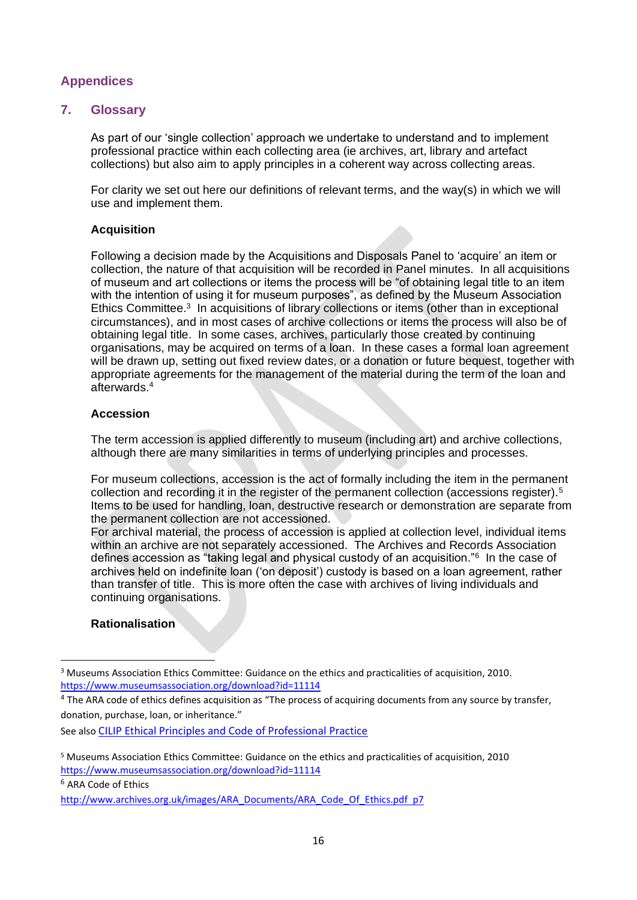## <span id="page-15-0"></span>**Appendices**

## <span id="page-15-1"></span>**7. Glossary**

As part of our 'single collection' approach we undertake to understand and to implement professional practice within each collecting area (ie archives, art, library and artefact collections) but also aim to apply principles in a coherent way across collecting areas.

For clarity we set out here our definitions of relevant terms, and the way(s) in which we will use and implement them.

## **Acquisition**

Following a decision made by the Acquisitions and Disposals Panel to 'acquire' an item or collection, the nature of that acquisition will be recorded in Panel minutes. In all acquisitions of museum and art collections or items the process will be "of obtaining legal title to an item with the intention of using it for museum purposes", as defined by the Museum Association Ethics Committee.<sup>3</sup> In acquisitions of library collections or items (other than in exceptional circumstances), and in most cases of archive collections or items the process will also be of obtaining legal title. In some cases, archives, particularly those created by continuing organisations, may be acquired on terms of a loan. In these cases a formal loan agreement will be drawn up, setting out fixed review dates, or a donation or future bequest, together with appropriate agreements for the management of the material during the term of the loan and afterwards.<sup>4</sup>

### **Accession**

The term accession is applied differently to museum (including art) and archive collections, although there are many similarities in terms of underlying principles and processes.

For museum collections, accession is the act of formally including the item in the permanent collection and recording it in the register of the permanent collection (accessions register).<sup>5</sup> Items to be used for handling, loan, destructive research or demonstration are separate from the permanent collection are not accessioned.

For archival material, the process of accession is applied at collection level, individual items within an archive are not separately accessioned. The Archives and Records Association defines accession as "taking legal and physical custody of an acquisition."<sup>6</sup> In the case of archives held on indefinite loan ('on deposit') custody is based on a loan agreement, rather than transfer of title. This is more often the case with archives of living individuals and continuing organisations.

## **Rationalisation**

See also [CILIP Ethical Principles and Code of Professional Practice](https://archive.cilip.org.uk/research/topics/ethics-review/existing-ethical-framework)

<sup>6</sup> ARA Code of Ethics

<sup>3</sup> Museums Association Ethics Committee: Guidance on the ethics and practicalities of acquisition, 2010. <https://www.museumsassociation.org/download?id=11114>

 $4$  The ARA code of ethics defines acquisition as "The process of acquiring documents from any source by transfer, donation, purchase, loan, or inheritance."

<sup>5</sup> Museums Association Ethics Committee: Guidance on the ethics and practicalities of acquisition, 2010 <https://www.museumsassociation.org/download?id=11114>

[http://www.archives.org.uk/images/ARA\\_Documents/ARA\\_Code\\_Of\\_Ethics.pdf](http://www.archives.org.uk/images/ARA_Documents/ARA_Code_Of_Ethics.pdf) p7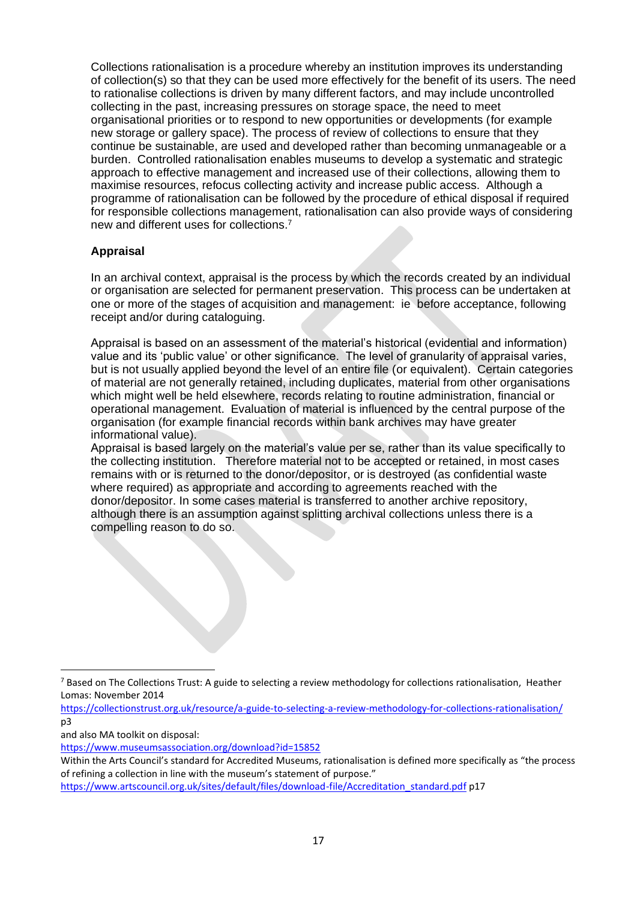Collections rationalisation is a procedure whereby an institution improves its understanding of collection(s) so that they can be used more effectively for the benefit of its users. The need to rationalise collections is driven by many different factors, and may include uncontrolled collecting in the past, increasing pressures on storage space, the need to meet organisational priorities or to respond to new opportunities or developments (for example new storage or gallery space). The process of review of collections to ensure that they continue be sustainable, are used and developed rather than becoming unmanageable or a burden. Controlled rationalisation enables museums to develop a systematic and strategic approach to effective management and increased use of their collections, allowing them to maximise resources, refocus collecting activity and increase public access. Although a programme of rationalisation can be followed by the procedure of ethical disposal if required for responsible collections management, rationalisation can also provide ways of considering new and different uses for collections.<sup>7</sup>

## **Appraisal**

In an archival context, appraisal is the process by which the records created by an individual or organisation are selected for permanent preservation. This process can be undertaken at one or more of the stages of acquisition and management: ie before acceptance, following receipt and/or during cataloguing.

Appraisal is based on an assessment of the material's historical (evidential and information) value and its 'public value' or other significance. The level of granularity of appraisal varies, but is not usually applied beyond the level of an entire file (or equivalent). Certain categories of material are not generally retained, including duplicates, material from other organisations which might well be held elsewhere, records relating to routine administration, financial or operational management. Evaluation of material is influenced by the central purpose of the organisation (for example financial records within bank archives may have greater informational value).

Appraisal is based largely on the material's value per se, rather than its value specifically to the collecting institution. Therefore material not to be accepted or retained, in most cases remains with or is returned to the donor/depositor, or is destroyed (as confidential waste where required) as appropriate and according to agreements reached with the donor/depositor. In some cases material is transferred to another archive repository, although there is an assumption against splitting archival collections unless there is a compelling reason to do so.

and also MA toolkit on disposal:

[https://www.artscouncil.org.uk/sites/default/files/download-file/Accreditation\\_standard.pdf](https://www.artscouncil.org.uk/sites/default/files/download-file/Accreditation_standard.pdf) p17

<sup>&</sup>lt;sup>7</sup> Based on The Collections Trust: A guide to selecting a review methodology for collections rationalisation, Heather Lomas: November 2014

<https://collectionstrust.org.uk/resource/a-guide-to-selecting-a-review-methodology-for-collections-rationalisation/> p3

<https://www.museumsassociation.org/download?id=15852>

Within the Arts Council's standard for Accredited Museums, rationalisation is defined more specifically as "the process of refining a collection in line with the museum's statement of purpose."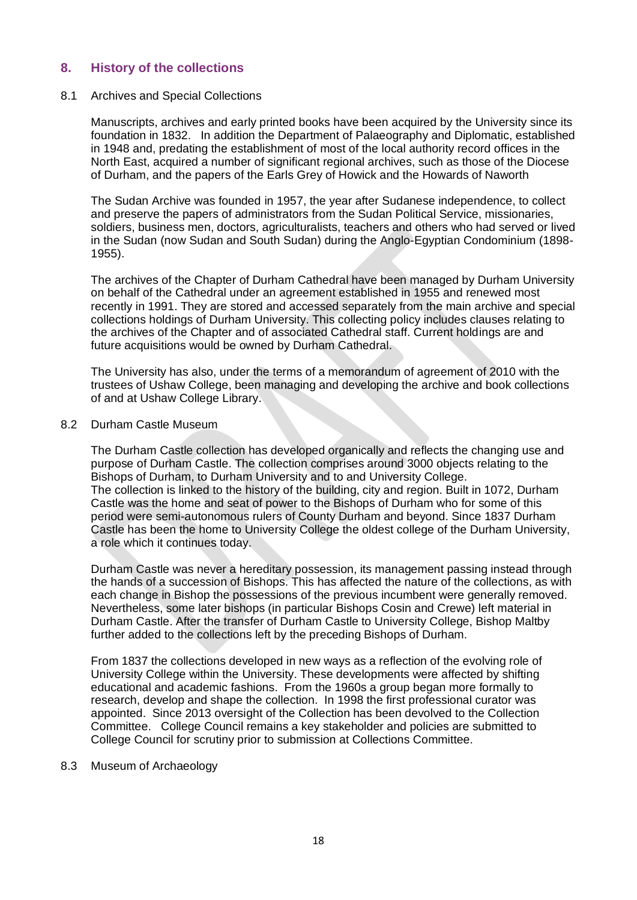## <span id="page-17-0"></span>**8. History of the collections**

### 8.1 Archives and Special Collections

Manuscripts, archives and early printed books have been acquired by the University since its foundation in 1832. In addition the Department of Palaeography and Diplomatic, established in 1948 and, predating the establishment of most of the local authority record offices in the North East, acquired a number of significant regional archives, such as those of the Diocese of Durham, and the papers of the Earls Grey of Howick and the Howards of Naworth

The Sudan Archive was founded in 1957, the year after Sudanese independence, to collect and preserve the papers of administrators from the Sudan Political Service, missionaries, soldiers, business men, doctors, agriculturalists, teachers and others who had served or lived in the Sudan (now Sudan and South Sudan) during the Anglo-Egyptian Condominium (1898- 1955).

The archives of the Chapter of Durham Cathedral have been managed by Durham University on behalf of the Cathedral under an agreement established in 1955 and renewed most recently in 1991. They are stored and accessed separately from the main archive and special collections holdings of Durham University. This collecting policy includes clauses relating to the archives of the Chapter and of associated Cathedral staff. Current holdings are and future acquisitions would be owned by Durham Cathedral.

The University has also, under the terms of a memorandum of agreement of 2010 with the trustees of Ushaw College, been managing and developing the archive and book collections of and at Ushaw College Library.

#### 8.2 Durham Castle Museum

The Durham Castle collection has developed organically and reflects the changing use and purpose of Durham Castle. The collection comprises around 3000 objects relating to the Bishops of Durham, to Durham University and to and University College. The collection is linked to the history of the building, city and region. Built in 1072, Durham Castle was the home and seat of power to the Bishops of Durham who for some of this period were semi-autonomous rulers of County Durham and beyond. Since 1837 Durham Castle has been the home to University College the oldest college of the Durham University, a role which it continues today.

Durham Castle was never a hereditary possession, its management passing instead through the hands of a succession of Bishops. This has affected the nature of the collections, as with each change in Bishop the possessions of the previous incumbent were generally removed. Nevertheless, some later bishops (in particular Bishops Cosin and Crewe) left material in Durham Castle. After the transfer of Durham Castle to University College, Bishop Maltby further added to the collections left by the preceding Bishops of Durham.

From 1837 the collections developed in new ways as a reflection of the evolving role of University College within the University. These developments were affected by shifting educational and academic fashions. From the 1960s a group began more formally to research, develop and shape the collection. In 1998 the first professional curator was appointed. Since 2013 oversight of the Collection has been devolved to the Collection Committee. College Council remains a key stakeholder and policies are submitted to College Council for scrutiny prior to submission at Collections Committee.

#### 8.3 Museum of Archaeology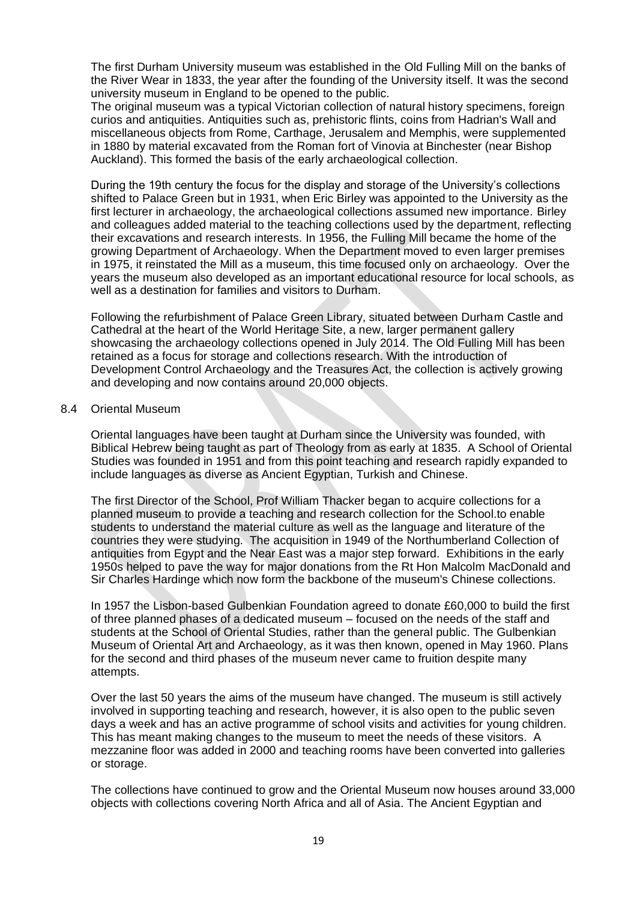The first Durham University museum was established in the Old Fulling Mill on the banks of the River Wear in 1833, the year after the founding of the University itself. It was the second university museum in England to be opened to the public.

The original museum was a typical Victorian collection of natural history specimens, foreign curios and antiquities. Antiquities such as, prehistoric flints, coins from Hadrian's Wall and miscellaneous objects from Rome, Carthage, Jerusalem and Memphis, were supplemented in 1880 by material excavated from the Roman fort of Vinovia at Binchester (near Bishop Auckland). This formed the basis of the early archaeological collection.

During the 19th century the focus for the display and storage of the University's collections shifted to Palace Green but in 1931, when Eric Birley was appointed to the University as the first lecturer in archaeology, the archaeological collections assumed new importance. Birley and colleagues added material to the teaching collections used by the department, reflecting their excavations and research interests. In 1956, the Fulling Mill became the home of the growing Department of Archaeology. When the Department moved to even larger premises in 1975, it reinstated the Mill as a museum, this time focused only on archaeology. Over the years the museum also developed as an important educational resource for local schools, as well as a destination for families and visitors to Durham.

Following the refurbishment of Palace Green Library, situated between Durham Castle and Cathedral at the heart of the World Heritage Site, a new, larger permanent gallery showcasing the archaeology collections opened in July 2014. The Old Fulling Mill has been retained as a focus for storage and collections research. With the introduction of Development Control Archaeology and the Treasures Act, the collection is actively growing and developing and now contains around 20,000 objects.

### 8.4 Oriental Museum

Oriental languages have been taught at Durham since the University was founded, with Biblical Hebrew being taught as part of Theology from as early at 1835. A School of Oriental Studies was founded in 1951 and from this point teaching and research rapidly expanded to include languages as diverse as Ancient Egyptian, Turkish and Chinese.

The first Director of the School, Prof William Thacker began to acquire collections for a planned museum to provide a teaching and research collection for the School.to enable students to understand the material culture as well as the language and literature of the countries they were studying. The acquisition in 1949 of the Northumberland Collection of antiquities from Egypt and the Near East was a major step forward. Exhibitions in the early 1950s helped to pave the way for major donations from the Rt Hon Malcolm MacDonald and Sir Charles Hardinge which now form the backbone of the museum's Chinese collections.

In 1957 the Lisbon-based Gulbenkian Foundation agreed to donate £60,000 to build the first of three planned phases of a dedicated museum – focused on the needs of the staff and students at the School of Oriental Studies, rather than the general public. The Gulbenkian Museum of Oriental Art and Archaeology, as it was then known, opened in May 1960. Plans for the second and third phases of the museum never came to fruition despite many attempts.

Over the last 50 years the aims of the museum have changed. The museum is still actively involved in supporting teaching and research, however, it is also open to the public seven days a week and has an active programme of school visits and activities for young children. This has meant making changes to the museum to meet the needs of these visitors. A mezzanine floor was added in 2000 and teaching rooms have been converted into galleries or storage.

The collections have continued to grow and the Oriental Museum now houses around 33,000 objects with collections covering North Africa and all of Asia. The Ancient Egyptian and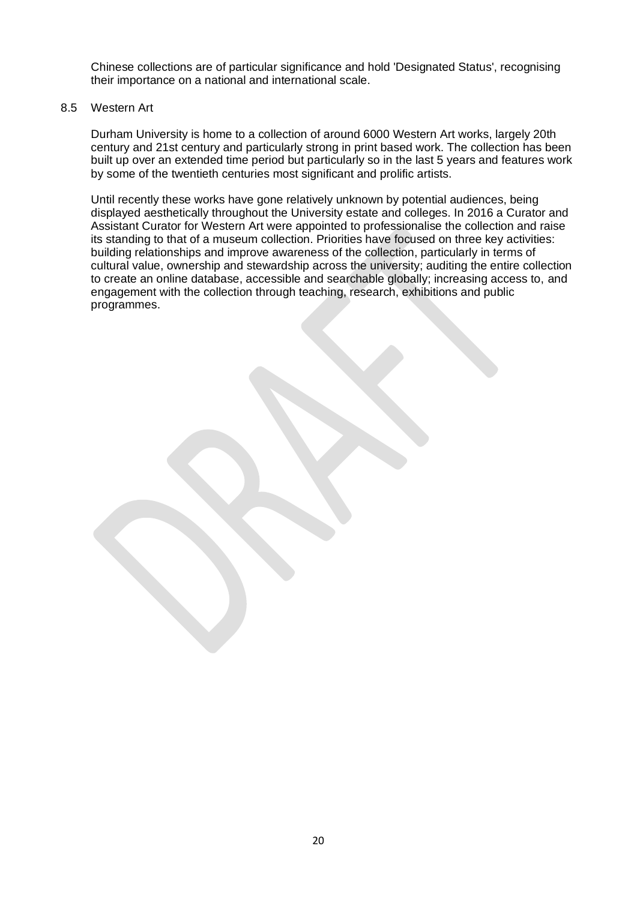Chinese collections are of particular significance and hold 'Designated Status', recognising their importance on a national and international scale.

### 8.5 Western Art

Durham University is home to a collection of around 6000 Western Art works, largely 20th century and 21st century and particularly strong in print based work. The collection has been built up over an extended time period but particularly so in the last 5 years and features work by some of the twentieth centuries most significant and prolific artists.

Until recently these works have gone relatively unknown by potential audiences, being displayed aesthetically throughout the University estate and colleges. In 2016 a Curator and Assistant Curator for Western Art were appointed to professionalise the collection and raise its standing to that of a museum collection. Priorities have focused on three key activities: building relationships and improve awareness of the collection, particularly in terms of cultural value, ownership and stewardship across the university; auditing the entire collection to create an online database, accessible and searchable globally; increasing access to, and engagement with the collection through teaching, research, exhibitions and public programmes.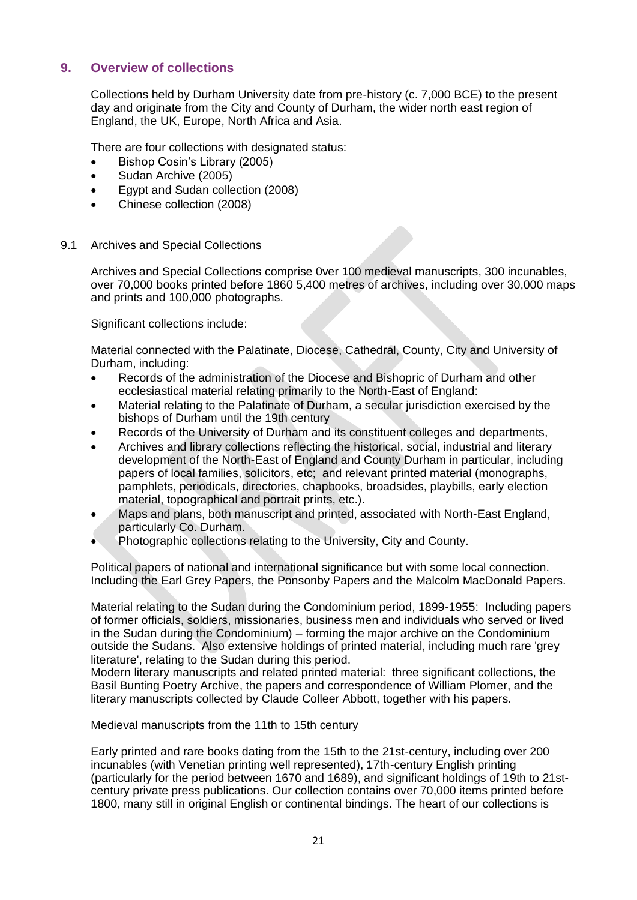## <span id="page-20-0"></span>**9. Overview of collections**

Collections held by Durham University date from pre-history (c. 7,000 BCE) to the present day and originate from the City and County of Durham, the wider north east region of England, the UK, Europe, North Africa and Asia.

There are four collections with designated status:

- Bishop Cosin's Library (2005)
- Sudan Archive (2005)
- Egypt and Sudan collection (2008)
- Chinese collection (2008)

### 9.1 Archives and Special Collections

Archives and Special Collections comprise 0ver 100 medieval manuscripts, 300 incunables, over 70,000 books printed before 1860 5,400 metres of archives, including over 30,000 maps and prints and 100,000 photographs.

Significant collections include:

Material connected with the Palatinate, Diocese, Cathedral, County, City and University of Durham, including:

- Records of the administration of the Diocese and Bishopric of Durham and other ecclesiastical material relating primarily to the North-East of England:
- Material relating to the Palatinate of Durham, a secular jurisdiction exercised by the bishops of Durham until the 19th century
- Records of the University of Durham and its constituent colleges and departments,
- Archives and library collections reflecting the historical, social, industrial and literary development of the North-East of England and County Durham in particular, including papers of local families, solicitors, etc; and relevant printed material (monographs, pamphlets, periodicals, directories, chapbooks, broadsides, playbills, early election material, topographical and portrait prints, etc.).
- Maps and plans, both manuscript and printed, associated with North-East England, particularly Co. Durham.
- Photographic collections relating to the University, City and County.

Political papers of national and international significance but with some local connection. Including the Earl Grey Papers, the Ponsonby Papers and the Malcolm MacDonald Papers.

Material relating to the Sudan during the Condominium period, 1899-1955: Including papers of former officials, soldiers, missionaries, business men and individuals who served or lived in the Sudan during the Condominium) – forming the major archive on the Condominium outside the Sudans. Also extensive holdings of printed material, including much rare 'grey literature', relating to the Sudan during this period.

Modern literary manuscripts and related printed material: three significant collections, the Basil Bunting Poetry Archive, the papers and correspondence of William Plomer, and the literary manuscripts collected by Claude Colleer Abbott, together with his papers.

Medieval manuscripts from the 11th to 15th century

Early printed and rare books dating from the 15th to the 21st-century, including over 200 incunables (with Venetian printing well represented), 17th-century English printing (particularly for the period between 1670 and 1689), and significant holdings of 19th to 21stcentury private press publications. Our collection contains over 70,000 items printed before 1800, many still in original English or continental bindings. The heart of our collections is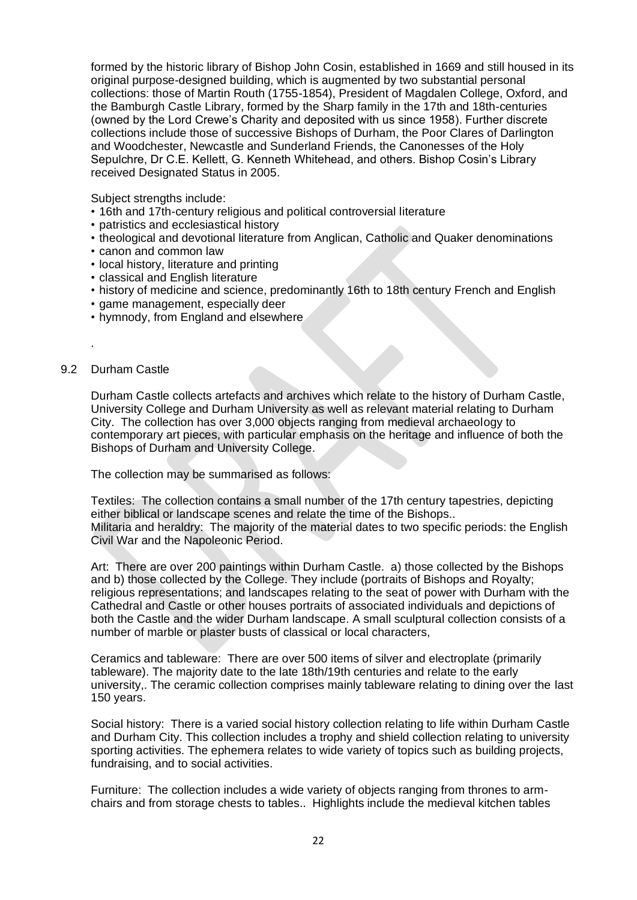formed by the historic library of Bishop John Cosin, established in 1669 and still housed in its original purpose-designed building, which is augmented by two substantial personal collections: those of Martin Routh (1755-1854), President of Magdalen College, Oxford, and the Bamburgh Castle Library, formed by the Sharp family in the 17th and 18th-centuries (owned by the Lord Crewe's Charity and deposited with us since 1958). Further discrete collections include those of successive Bishops of Durham, the Poor Clares of Darlington and Woodchester, Newcastle and Sunderland Friends, the Canonesses of the Holy Sepulchre, Dr C.E. Kellett, G. Kenneth Whitehead, and others. Bishop Cosin's Library received Designated Status in 2005.

Subject strengths include:

- 16th and 17th-century religious and political controversial literature
- patristics and ecclesiastical history
- theological and devotional literature from Anglican, Catholic and Quaker denominations
- canon and common law
- local history, literature and printing
- classical and English literature
- history of medicine and science, predominantly 16th to 18th century French and English
- game management, especially deer
- hymnody, from England and elsewhere

### 9.2 Durham Castle

.

Durham Castle collects artefacts and archives which relate to the history of Durham Castle, University College and Durham University as well as relevant material relating to Durham City. The collection has over 3,000 objects ranging from medieval archaeology to contemporary art pieces, with particular emphasis on the heritage and influence of both the Bishops of Durham and University College.

The collection may be summarised as follows:

Textiles: The collection contains a small number of the 17th century tapestries, depicting either biblical or landscape scenes and relate the time of the Bishops.. Militaria and heraldry: The majority of the material dates to two specific periods: the English Civil War and the Napoleonic Period.

Art: There are over 200 paintings within Durham Castle. a) those collected by the Bishops and b) those collected by the College. They include (portraits of Bishops and Royalty; religious representations; and landscapes relating to the seat of power with Durham with the Cathedral and Castle or other houses portraits of associated individuals and depictions of both the Castle and the wider Durham landscape. A small sculptural collection consists of a number of marble or plaster busts of classical or local characters,

Ceramics and tableware: There are over 500 items of silver and electroplate (primarily tableware). The majority date to the late 18th/19th centuries and relate to the early university,. The ceramic collection comprises mainly tableware relating to dining over the last 150 years.

Social history: There is a varied social history collection relating to life within Durham Castle and Durham City. This collection includes a trophy and shield collection relating to university sporting activities. The ephemera relates to wide variety of topics such as building projects, fundraising, and to social activities.

Furniture: The collection includes a wide variety of objects ranging from thrones to armchairs and from storage chests to tables.. Highlights include the medieval kitchen tables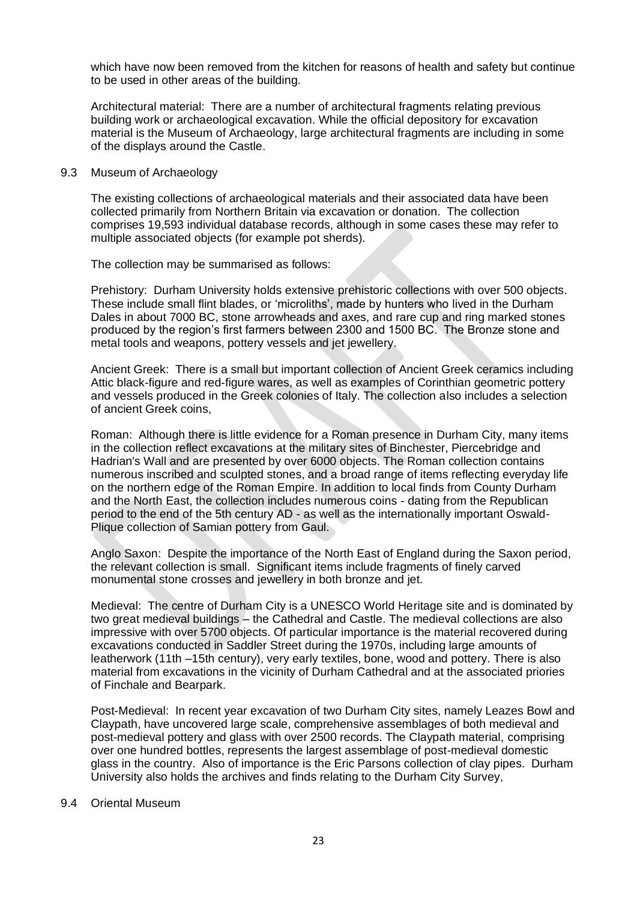which have now been removed from the kitchen for reasons of health and safety but continue to be used in other areas of the building.

Architectural material: There are a number of architectural fragments relating previous building work or archaeological excavation. While the official depository for excavation material is the Museum of Archaeology, large architectural fragments are including in some of the displays around the Castle.

### 9.3 Museum of Archaeology

The existing collections of archaeological materials and their associated data have been collected primarily from Northern Britain via excavation or donation. The collection comprises 19,593 individual database records, although in some cases these may refer to multiple associated objects (for example pot sherds).

The collection may be summarised as follows:

Prehistory: Durham University holds extensive prehistoric collections with over 500 objects. These include small flint blades, or 'microliths', made by hunters who lived in the Durham Dales in about 7000 BC, stone arrowheads and axes, and rare cup and ring marked stones produced by the region's first farmers between 2300 and 1500 BC. The Bronze stone and metal tools and weapons, pottery vessels and jet jewellery.

Ancient Greek: There is a small but important collection of Ancient Greek ceramics including Attic black-figure and red-figure wares, as well as examples of Corinthian geometric pottery and vessels produced in the Greek colonies of Italy. The collection also includes a selection of ancient Greek coins,

Roman: Although there is little evidence for a Roman presence in Durham City, many items in the collection reflect excavations at the military sites of Binchester, Piercebridge and Hadrian's Wall and are presented by over 6000 objects. The Roman collection contains numerous inscribed and sculpted stones, and a broad range of items reflecting everyday life on the northern edge of the Roman Empire. In addition to local finds from County Durham and the North East, the collection includes numerous coins - dating from the Republican period to the end of the 5th century AD - as well as the internationally important Oswald-Plique collection of Samian pottery from Gaul.

Anglo Saxon: Despite the importance of the North East of England during the Saxon period, the relevant collection is small. Significant items include fragments of finely carved monumental stone crosses and jewellery in both bronze and jet.

Medieval: The centre of Durham City is a UNESCO World Heritage site and is dominated by two great medieval buildings – the Cathedral and Castle. The medieval collections are also impressive with over 5700 objects. Of particular importance is the material recovered during excavations conducted in Saddler Street during the 1970s, including large amounts of leatherwork (11th –15th century), very early textiles, bone, wood and pottery. There is also material from excavations in the vicinity of Durham Cathedral and at the associated priories of Finchale and Bearpark.

Post-Medieval: In recent year excavation of two Durham City sites, namely Leazes Bowl and Claypath, have uncovered large scale, comprehensive assemblages of both medieval and post-medieval pottery and glass with over 2500 records. The Claypath material, comprising over one hundred bottles, represents the largest assemblage of post-medieval domestic glass in the country. Also of importance is the Eric Parsons collection of clay pipes. Durham University also holds the archives and finds relating to the Durham City Survey,

### 9.4 Oriental Museum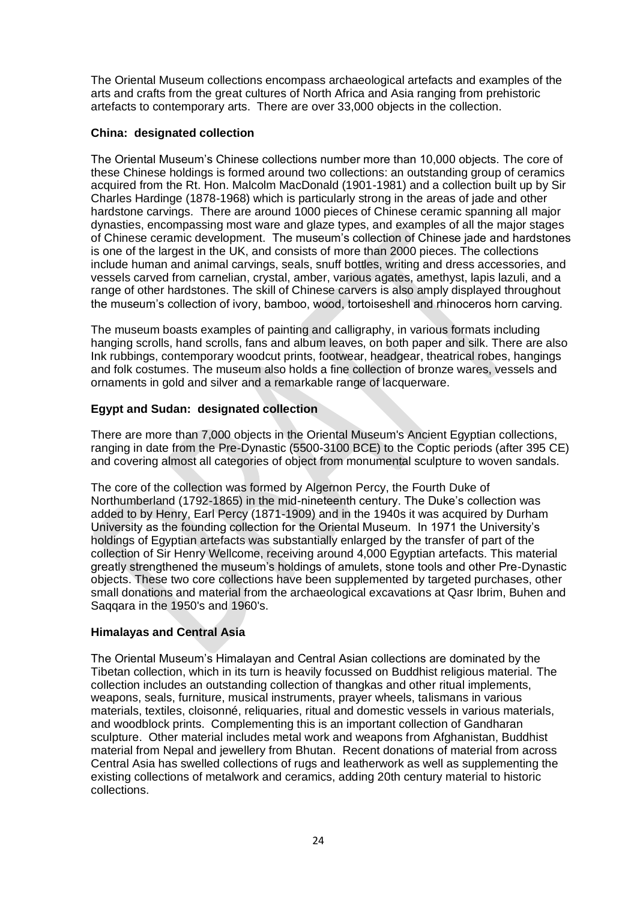The Oriental Museum collections encompass archaeological artefacts and examples of the arts and crafts from the great cultures of North Africa and Asia ranging from prehistoric artefacts to contemporary arts. There are over 33,000 objects in the collection.

## **China: designated collection**

The Oriental Museum's Chinese collections number more than 10,000 objects. The core of these Chinese holdings is formed around two collections: an outstanding group of ceramics acquired from the Rt. Hon. Malcolm MacDonald (1901-1981) and a collection built up by Sir Charles Hardinge (1878-1968) which is particularly strong in the areas of jade and other hardstone carvings. There are around 1000 pieces of Chinese ceramic spanning all major dynasties, encompassing most ware and glaze types, and examples of all the major stages of Chinese ceramic development. The museum's collection of Chinese jade and hardstones is one of the largest in the UK, and consists of more than 2000 pieces. The collections include human and animal carvings, seals, snuff bottles, writing and dress accessories, and vessels carved from carnelian, crystal, amber, various agates, amethyst, lapis lazuli, and a range of other hardstones. The skill of Chinese carvers is also amply displayed throughout the museum's collection of ivory, bamboo, wood, tortoiseshell and rhinoceros horn carving.

The museum boasts examples of painting and calligraphy, in various formats including hanging scrolls, hand scrolls, fans and album leaves, on both paper and silk. There are also Ink rubbings, contemporary woodcut prints, footwear, headgear, theatrical robes, hangings and folk costumes. The museum also holds a fine collection of bronze wares, vessels and ornaments in gold and silver and a remarkable range of lacquerware.

## **Egypt and Sudan: designated collection**

There are more than 7,000 objects in the Oriental Museum's Ancient Egyptian collections, ranging in date from the Pre-Dynastic (5500-3100 BCE) to the Coptic periods (after 395 CE) and covering almost all categories of object from monumental sculpture to woven sandals.

The core of the collection was formed by Algernon Percy, the Fourth Duke of Northumberland (1792-1865) in the mid-nineteenth century. The Duke's collection was added to by Henry, Earl Percy (1871-1909) and in the 1940s it was acquired by Durham University as the founding collection for the Oriental Museum. In 1971 the University's holdings of Egyptian artefacts was substantially enlarged by the transfer of part of the collection of Sir Henry Wellcome, receiving around 4,000 Egyptian artefacts. This material greatly strengthened the museum's holdings of amulets, stone tools and other Pre-Dynastic objects. These two core collections have been supplemented by targeted purchases, other small donations and material from the archaeological excavations at Qasr Ibrim, Buhen and Saqqara in the 1950's and 1960's.

## **Himalayas and Central Asia**

The Oriental Museum's Himalayan and Central Asian collections are dominated by the Tibetan collection, which in its turn is heavily focussed on Buddhist religious material. The collection includes an outstanding collection of thangkas and other ritual implements, weapons, seals, furniture, musical instruments, prayer wheels, talismans in various materials, textiles, cloisonné, reliquaries, ritual and domestic vessels in various materials, and woodblock prints. Complementing this is an important collection of Gandharan sculpture. Other material includes metal work and weapons from Afghanistan, Buddhist material from Nepal and jewellery from Bhutan. Recent donations of material from across Central Asia has swelled collections of rugs and leatherwork as well as supplementing the existing collections of metalwork and ceramics, adding 20th century material to historic collections.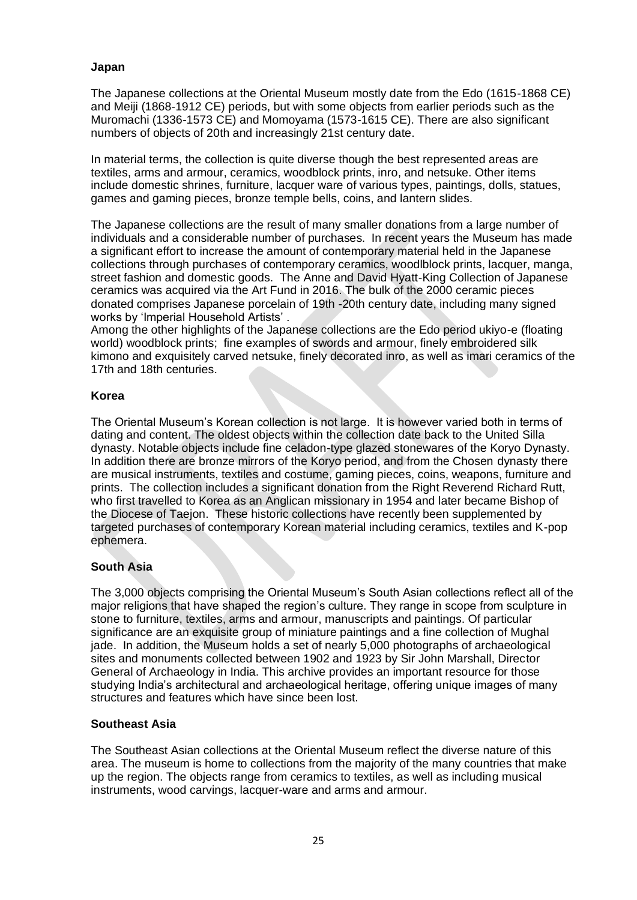## **Japan**

The Japanese collections at the Oriental Museum mostly date from the Edo (1615-1868 CE) and Meiji (1868-1912 CE) periods, but with some objects from earlier periods such as the Muromachi (1336-1573 CE) and Momoyama (1573-1615 CE). There are also significant numbers of objects of 20th and increasingly 21st century date.

In material terms, the collection is quite diverse though the best represented areas are textiles, arms and armour, ceramics, woodblock prints, inro, and netsuke. Other items include domestic shrines, furniture, lacquer ware of various types, paintings, dolls, statues, games and gaming pieces, bronze temple bells, coins, and lantern slides.

The Japanese collections are the result of many smaller donations from a large number of individuals and a considerable number of purchases. In recent years the Museum has made a significant effort to increase the amount of contemporary material held in the Japanese collections through purchases of contemporary ceramics, woodlblock prints, lacquer, manga, street fashion and domestic goods. The Anne and David Hyatt-King Collection of Japanese ceramics was acquired via the Art Fund in 2016. The bulk of the 2000 ceramic pieces donated comprises Japanese porcelain of 19th -20th century date, including many signed works by 'Imperial Household Artists' .

Among the other highlights of the Japanese collections are the Edo period ukiyo-e (floating world) woodblock prints; fine examples of swords and armour, finely embroidered silk kimono and exquisitely carved netsuke, finely decorated inro, as well as imari ceramics of the 17th and 18th centuries.

## **Korea**

The Oriental Museum's Korean collection is not large. It is however varied both in terms of dating and content. The oldest objects within the collection date back to the United Silla dynasty. Notable objects include fine celadon-type glazed stonewares of the Koryo Dynasty. In addition there are bronze mirrors of the Koryo period, and from the Chosen dynasty there are musical instruments, textiles and costume, gaming pieces, coins, weapons, furniture and prints. The collection includes a significant donation from the Right Reverend Richard Rutt, who first travelled to Korea as an Anglican missionary in 1954 and later became Bishop of the Diocese of Taejon. These historic collections have recently been supplemented by targeted purchases of contemporary Korean material including ceramics, textiles and K-pop ephemera.

## **South Asia**

The 3,000 objects comprising the Oriental Museum's South Asian collections reflect all of the major religions that have shaped the region's culture. They range in scope from sculpture in stone to furniture, textiles, arms and armour, manuscripts and paintings. Of particular significance are an exquisite group of miniature paintings and a fine collection of Mughal jade. In addition, the Museum holds a set of nearly 5,000 photographs of archaeological sites and monuments collected between 1902 and 1923 by Sir John Marshall, Director General of Archaeology in India. This archive provides an important resource for those studying India's architectural and archaeological heritage, offering unique images of many structures and features which have since been lost.

## **Southeast Asia**

The Southeast Asian collections at the Oriental Museum reflect the diverse nature of this area. The museum is home to collections from the majority of the many countries that make up the region. The objects range from ceramics to textiles, as well as including musical instruments, wood carvings, lacquer-ware and arms and armour.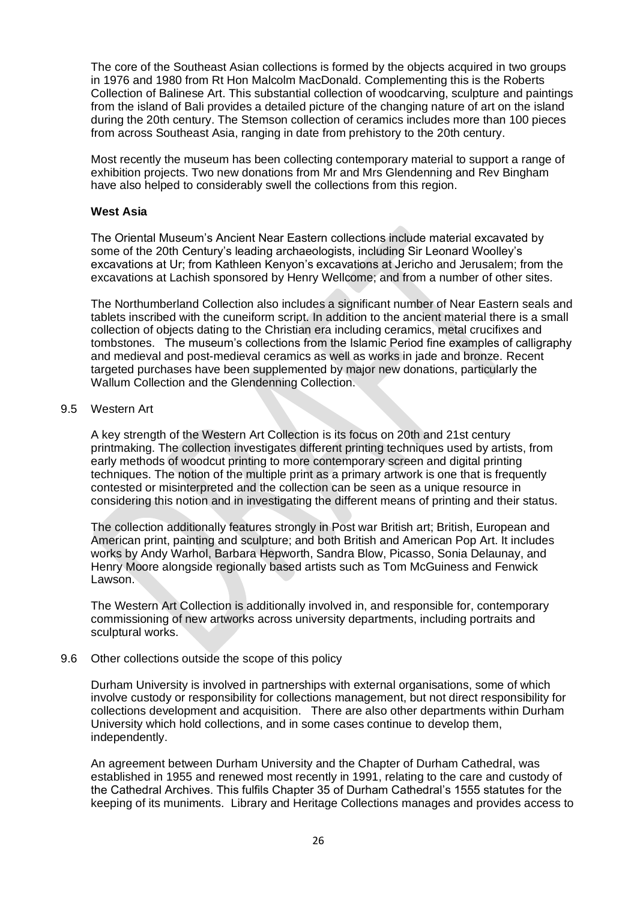The core of the Southeast Asian collections is formed by the objects acquired in two groups in 1976 and 1980 from Rt Hon Malcolm MacDonald. Complementing this is the Roberts Collection of Balinese Art. This substantial collection of woodcarving, sculpture and paintings from the island of Bali provides a detailed picture of the changing nature of art on the island during the 20th century. The Stemson collection of ceramics includes more than 100 pieces from across Southeast Asia, ranging in date from prehistory to the 20th century.

Most recently the museum has been collecting contemporary material to support a range of exhibition projects. Two new donations from Mr and Mrs Glendenning and Rev Bingham have also helped to considerably swell the collections from this region.

### **West Asia**

The Oriental Museum's Ancient Near Eastern collections include material excavated by some of the 20th Century's leading archaeologists, including Sir Leonard Woolley's excavations at Ur; from Kathleen Kenyon's excavations at Jericho and Jerusalem; from the excavations at Lachish sponsored by Henry Wellcome; and from a number of other sites.

The Northumberland Collection also includes a significant number of Near Eastern seals and tablets inscribed with the cuneiform script. In addition to the ancient material there is a small collection of objects dating to the Christian era including ceramics, metal crucifixes and tombstones. The museum's collections from the Islamic Period fine examples of calligraphy and medieval and post-medieval ceramics as well as works in jade and bronze. Recent targeted purchases have been supplemented by major new donations, particularly the Wallum Collection and the Glendenning Collection.

### 9.5 Western Art

A key strength of the Western Art Collection is its focus on 20th and 21st century printmaking. The collection investigates different printing techniques used by artists, from early methods of woodcut printing to more contemporary screen and digital printing techniques. The notion of the multiple print as a primary artwork is one that is frequently contested or misinterpreted and the collection can be seen as a unique resource in considering this notion and in investigating the different means of printing and their status.

The collection additionally features strongly in Post war British art; British, European and American print, painting and sculpture; and both British and American Pop Art. It includes works by Andy Warhol, Barbara Hepworth, Sandra Blow, Picasso, Sonia Delaunay, and Henry Moore alongside regionally based artists such as Tom McGuiness and Fenwick Lawson.

The Western Art Collection is additionally involved in, and responsible for, contemporary commissioning of new artworks across university departments, including portraits and sculptural works.

### 9.6 Other collections outside the scope of this policy

Durham University is involved in partnerships with external organisations, some of which involve custody or responsibility for collections management, but not direct responsibility for collections development and acquisition. There are also other departments within Durham University which hold collections, and in some cases continue to develop them, independently.

An agreement between Durham University and the Chapter of Durham Cathedral, was established in 1955 and renewed most recently in 1991, relating to the care and custody of the Cathedral Archives. This fulfils Chapter 35 of Durham Cathedral's 1555 statutes for the keeping of its muniments. Library and Heritage Collections manages and provides access to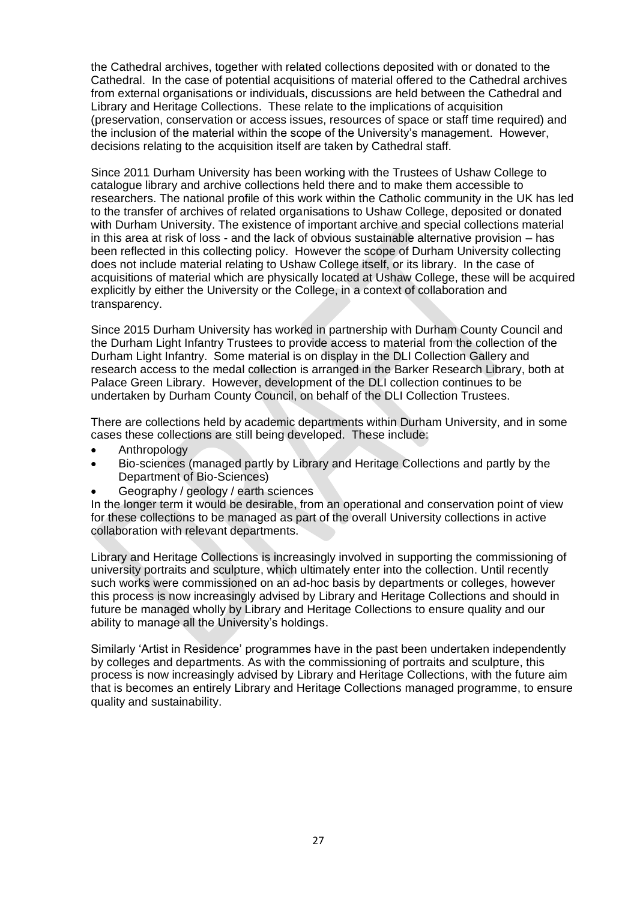the Cathedral archives, together with related collections deposited with or donated to the Cathedral. In the case of potential acquisitions of material offered to the Cathedral archives from external organisations or individuals, discussions are held between the Cathedral and Library and Heritage Collections. These relate to the implications of acquisition (preservation, conservation or access issues, resources of space or staff time required) and the inclusion of the material within the scope of the University's management. However, decisions relating to the acquisition itself are taken by Cathedral staff.

Since 2011 Durham University has been working with the Trustees of Ushaw College to catalogue library and archive collections held there and to make them accessible to researchers. The national profile of this work within the Catholic community in the UK has led to the transfer of archives of related organisations to Ushaw College, deposited or donated with Durham University. The existence of important archive and special collections material in this area at risk of loss - and the lack of obvious sustainable alternative provision – has been reflected in this collecting policy. However the scope of Durham University collecting does not include material relating to Ushaw College itself, or its library. In the case of acquisitions of material which are physically located at Ushaw College, these will be acquired explicitly by either the University or the College, in a context of collaboration and transparency.

Since 2015 Durham University has worked in partnership with Durham County Council and the Durham Light Infantry Trustees to provide access to material from the collection of the Durham Light Infantry. Some material is on display in the DLI Collection Gallery and research access to the medal collection is arranged in the Barker Research Library, both at Palace Green Library. However, development of the DLI collection continues to be undertaken by Durham County Council, on behalf of the DLI Collection Trustees.

There are collections held by academic departments within Durham University, and in some cases these collections are still being developed. These include:

- Anthropology
- Bio-sciences (managed partly by Library and Heritage Collections and partly by the Department of Bio-Sciences)
- Geography / geology / earth sciences

In the longer term it would be desirable, from an operational and conservation point of view for these collections to be managed as part of the overall University collections in active collaboration with relevant departments.

Library and Heritage Collections is increasingly involved in supporting the commissioning of university portraits and sculpture, which ultimately enter into the collection. Until recently such works were commissioned on an ad-hoc basis by departments or colleges, however this process is now increasingly advised by Library and Heritage Collections and should in future be managed wholly by Library and Heritage Collections to ensure quality and our ability to manage all the University's holdings.

Similarly 'Artist in Residence' programmes have in the past been undertaken independently by colleges and departments. As with the commissioning of portraits and sculpture, this process is now increasingly advised by Library and Heritage Collections, with the future aim that is becomes an entirely Library and Heritage Collections managed programme, to ensure quality and sustainability.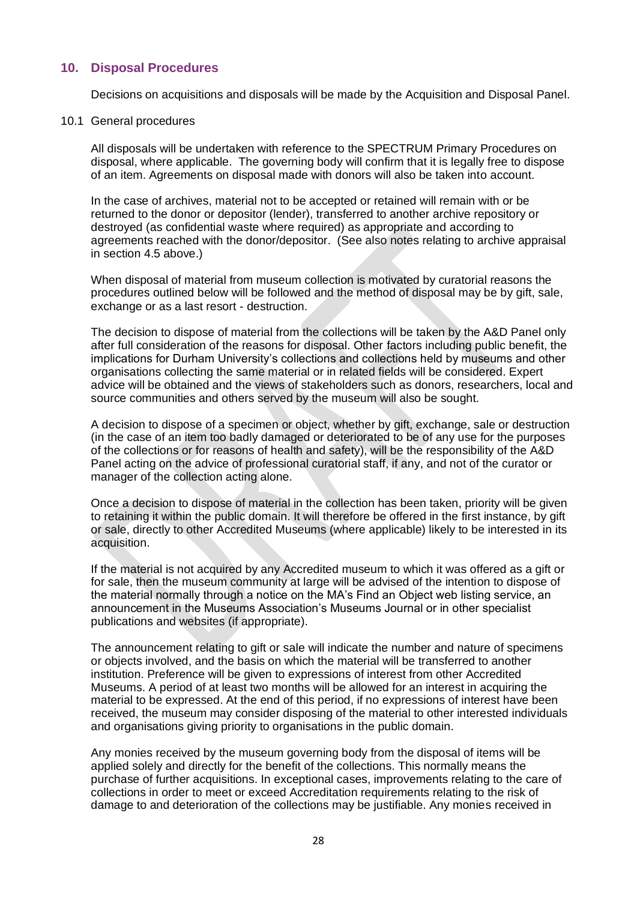## <span id="page-27-0"></span>**10. Disposal Procedures**

Decisions on acquisitions and disposals will be made by the Acquisition and Disposal Panel.

#### 10.1 General procedures

All disposals will be undertaken with reference to the SPECTRUM Primary Procedures on disposal, where applicable. The governing body will confirm that it is legally free to dispose of an item. Agreements on disposal made with donors will also be taken into account.

In the case of archives, material not to be accepted or retained will remain with or be returned to the donor or depositor (lender), transferred to another archive repository or destroyed (as confidential waste where required) as appropriate and according to agreements reached with the donor/depositor. (See also notes relating to archive appraisal in section 4.5 above.)

When disposal of material from museum collection is motivated by curatorial reasons the procedures outlined below will be followed and the method of disposal may be by gift, sale, exchange or as a last resort - destruction.

The decision to dispose of material from the collections will be taken by the A&D Panel only after full consideration of the reasons for disposal. Other factors including public benefit, the implications for Durham University's collections and collections held by museums and other organisations collecting the same material or in related fields will be considered. Expert advice will be obtained and the views of stakeholders such as donors, researchers, local and source communities and others served by the museum will also be sought.

A decision to dispose of a specimen or object, whether by gift, exchange, sale or destruction (in the case of an item too badly damaged or deteriorated to be of any use for the purposes of the collections or for reasons of health and safety), will be the responsibility of the A&D Panel acting on the advice of professional curatorial staff, if any, and not of the curator or manager of the collection acting alone.

Once a decision to dispose of material in the collection has been taken, priority will be given to retaining it within the public domain. It will therefore be offered in the first instance, by gift or sale, directly to other Accredited Museums (where applicable) likely to be interested in its acquisition.

If the material is not acquired by any Accredited museum to which it was offered as a gift or for sale, then the museum community at large will be advised of the intention to dispose of the material normally through a notice on the MA's Find an Object web listing service, an announcement in the Museums Association's Museums Journal or in other specialist publications and websites (if appropriate).

The announcement relating to gift or sale will indicate the number and nature of specimens or objects involved, and the basis on which the material will be transferred to another institution. Preference will be given to expressions of interest from other Accredited Museums. A period of at least two months will be allowed for an interest in acquiring the material to be expressed. At the end of this period, if no expressions of interest have been received, the museum may consider disposing of the material to other interested individuals and organisations giving priority to organisations in the public domain.

Any monies received by the museum governing body from the disposal of items will be applied solely and directly for the benefit of the collections. This normally means the purchase of further acquisitions. In exceptional cases, improvements relating to the care of collections in order to meet or exceed Accreditation requirements relating to the risk of damage to and deterioration of the collections may be justifiable. Any monies received in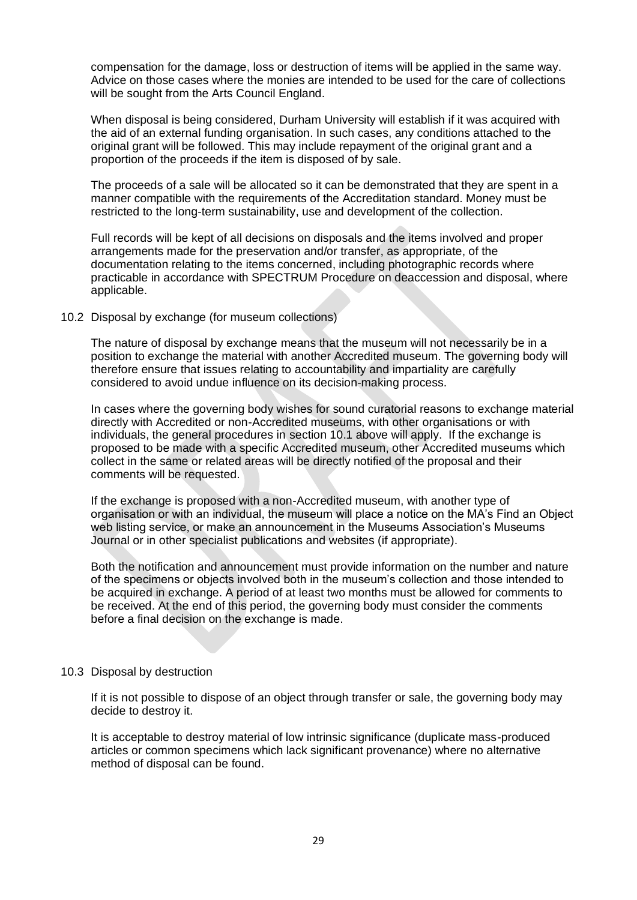compensation for the damage, loss or destruction of items will be applied in the same way. Advice on those cases where the monies are intended to be used for the care of collections will be sought from the Arts Council England.

When disposal is being considered, Durham University will establish if it was acquired with the aid of an external funding organisation. In such cases, any conditions attached to the original grant will be followed. This may include repayment of the original grant and a proportion of the proceeds if the item is disposed of by sale.

The proceeds of a sale will be allocated so it can be demonstrated that they are spent in a manner compatible with the requirements of the Accreditation standard. Money must be restricted to the long-term sustainability, use and development of the collection.

Full records will be kept of all decisions on disposals and the items involved and proper arrangements made for the preservation and/or transfer, as appropriate, of the documentation relating to the items concerned, including photographic records where practicable in accordance with SPECTRUM Procedure on deaccession and disposal, where applicable.

### 10.2 Disposal by exchange (for museum collections)

The nature of disposal by exchange means that the museum will not necessarily be in a position to exchange the material with another Accredited museum. The governing body will therefore ensure that issues relating to accountability and impartiality are carefully considered to avoid undue influence on its decision-making process.

In cases where the governing body wishes for sound curatorial reasons to exchange material directly with Accredited or non-Accredited museums, with other organisations or with individuals, the general procedures in section 10.1 above will apply. If the exchange is proposed to be made with a specific Accredited museum, other Accredited museums which collect in the same or related areas will be directly notified of the proposal and their comments will be requested.

If the exchange is proposed with a non-Accredited museum, with another type of organisation or with an individual, the museum will place a notice on the MA's Find an Object web listing service, or make an announcement in the Museums Association's Museums Journal or in other specialist publications and websites (if appropriate).

Both the notification and announcement must provide information on the number and nature of the specimens or objects involved both in the museum's collection and those intended to be acquired in exchange. A period of at least two months must be allowed for comments to be received. At the end of this period, the governing body must consider the comments before a final decision on the exchange is made.

## 10.3 Disposal by destruction

If it is not possible to dispose of an object through transfer or sale, the governing body may decide to destroy it.

It is acceptable to destroy material of low intrinsic significance (duplicate mass-produced articles or common specimens which lack significant provenance) where no alternative method of disposal can be found.